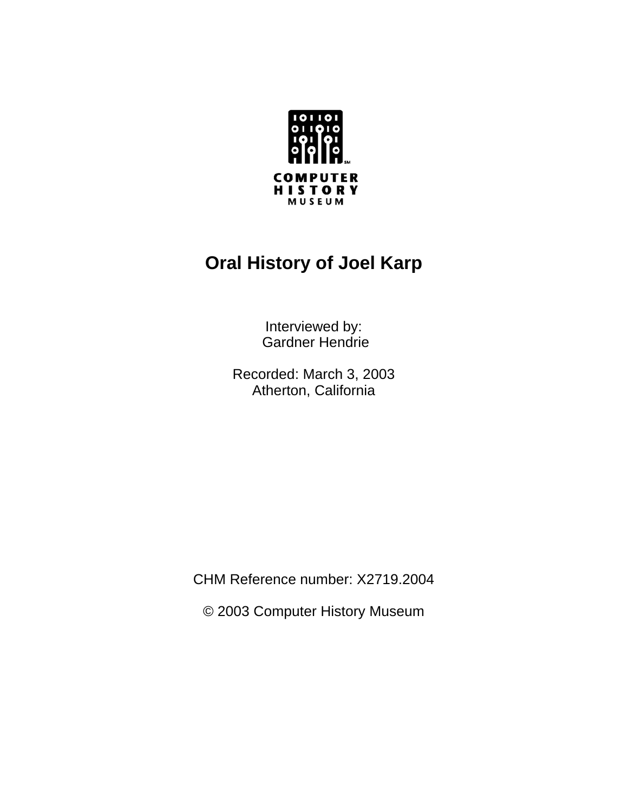

# **Oral History of Joel Karp**

Interviewed by: Gardner Hendrie

Recorded: March 3, 2003 Atherton, California

CHM Reference number: X2719.2004

© 2003 Computer History Museum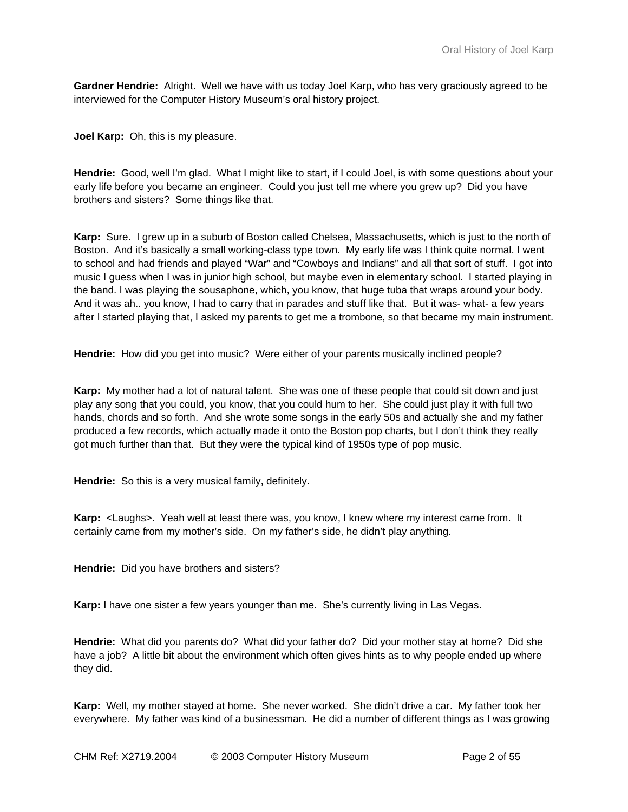**Gardner Hendrie:** Alright. Well we have with us today Joel Karp, who has very graciously agreed to be interviewed for the Computer History Museum's oral history project.

**Joel Karp:** Oh, this is my pleasure.

**Hendrie:** Good, well I'm glad. What I might like to start, if I could Joel, is with some questions about your early life before you became an engineer. Could you just tell me where you grew up? Did you have brothers and sisters? Some things like that.

**Karp:** Sure. I grew up in a suburb of Boston called Chelsea, Massachusetts, which is just to the north of Boston. And it's basically a small working-class type town. My early life was I think quite normal. I went to school and had friends and played "War" and "Cowboys and Indians" and all that sort of stuff. I got into music I guess when I was in junior high school, but maybe even in elementary school. I started playing in the band. I was playing the sousaphone, which, you know, that huge tuba that wraps around your body. And it was ah.. you know, I had to carry that in parades and stuff like that. But it was- what- a few years after I started playing that, I asked my parents to get me a trombone, so that became my main instrument.

**Hendrie:** How did you get into music? Were either of your parents musically inclined people?

**Karp:** My mother had a lot of natural talent. She was one of these people that could sit down and just play any song that you could, you know, that you could hum to her. She could just play it with full two hands, chords and so forth. And she wrote some songs in the early 50s and actually she and my father produced a few records, which actually made it onto the Boston pop charts, but I don't think they really got much further than that. But they were the typical kind of 1950s type of pop music.

**Hendrie:** So this is a very musical family, definitely.

**Karp:** <Laughs>. Yeah well at least there was, you know, I knew where my interest came from. It certainly came from my mother's side. On my father's side, he didn't play anything.

**Hendrie:** Did you have brothers and sisters?

**Karp:** I have one sister a few years younger than me. She's currently living in Las Vegas.

**Hendrie:** What did you parents do? What did your father do? Did your mother stay at home? Did she have a job? A little bit about the environment which often gives hints as to why people ended up where they did.

**Karp:** Well, my mother stayed at home. She never worked. She didn't drive a car. My father took her everywhere. My father was kind of a businessman. He did a number of different things as I was growing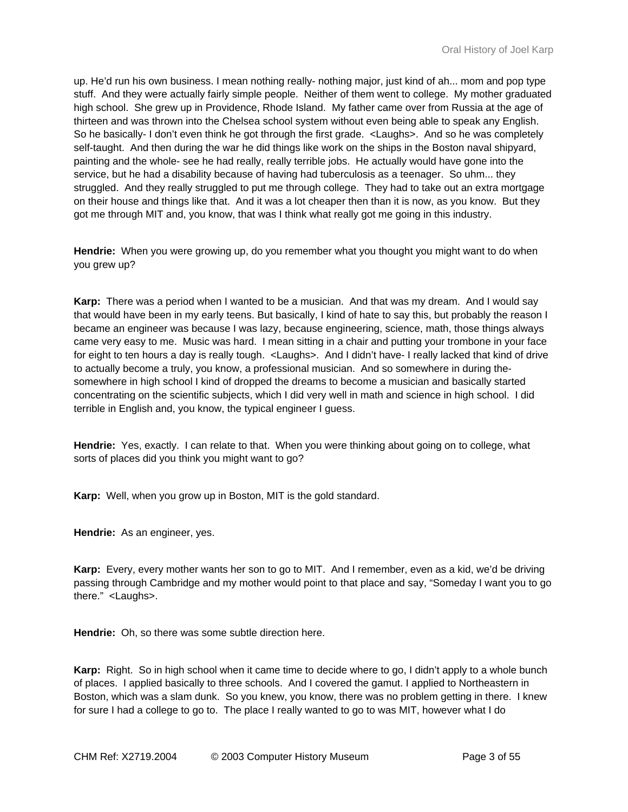up. He'd run his own business. I mean nothing really- nothing major, just kind of ah... mom and pop type stuff. And they were actually fairly simple people. Neither of them went to college. My mother graduated high school. She grew up in Providence, Rhode Island. My father came over from Russia at the age of thirteen and was thrown into the Chelsea school system without even being able to speak any English. So he basically- I don't even think he got through the first grade. <Laughs>. And so he was completely self-taught. And then during the war he did things like work on the ships in the Boston naval shipyard, painting and the whole- see he had really, really terrible jobs. He actually would have gone into the service, but he had a disability because of having had tuberculosis as a teenager. So uhm... they struggled. And they really struggled to put me through college. They had to take out an extra mortgage on their house and things like that. And it was a lot cheaper then than it is now, as you know. But they got me through MIT and, you know, that was I think what really got me going in this industry.

**Hendrie:** When you were growing up, do you remember what you thought you might want to do when you grew up?

**Karp:** There was a period when I wanted to be a musician. And that was my dream. And I would say that would have been in my early teens. But basically, I kind of hate to say this, but probably the reason I became an engineer was because I was lazy, because engineering, science, math, those things always came very easy to me. Music was hard. I mean sitting in a chair and putting your trombone in your face for eight to ten hours a day is really tough. <Laughs>. And I didn't have- I really lacked that kind of drive to actually become a truly, you know, a professional musician. And so somewhere in during thesomewhere in high school I kind of dropped the dreams to become a musician and basically started concentrating on the scientific subjects, which I did very well in math and science in high school. I did terrible in English and, you know, the typical engineer I guess.

**Hendrie:** Yes, exactly. I can relate to that. When you were thinking about going on to college, what sorts of places did you think you might want to go?

**Karp:** Well, when you grow up in Boston, MIT is the gold standard.

**Hendrie:** As an engineer, yes.

**Karp:** Every, every mother wants her son to go to MIT. And I remember, even as a kid, we'd be driving passing through Cambridge and my mother would point to that place and say, "Someday I want you to go there." <Laughs>.

**Hendrie:** Oh, so there was some subtle direction here.

**Karp:** Right. So in high school when it came time to decide where to go, I didn't apply to a whole bunch of places. I applied basically to three schools. And I covered the gamut. I applied to Northeastern in Boston, which was a slam dunk. So you knew, you know, there was no problem getting in there. I knew for sure I had a college to go to. The place I really wanted to go to was MIT, however what I do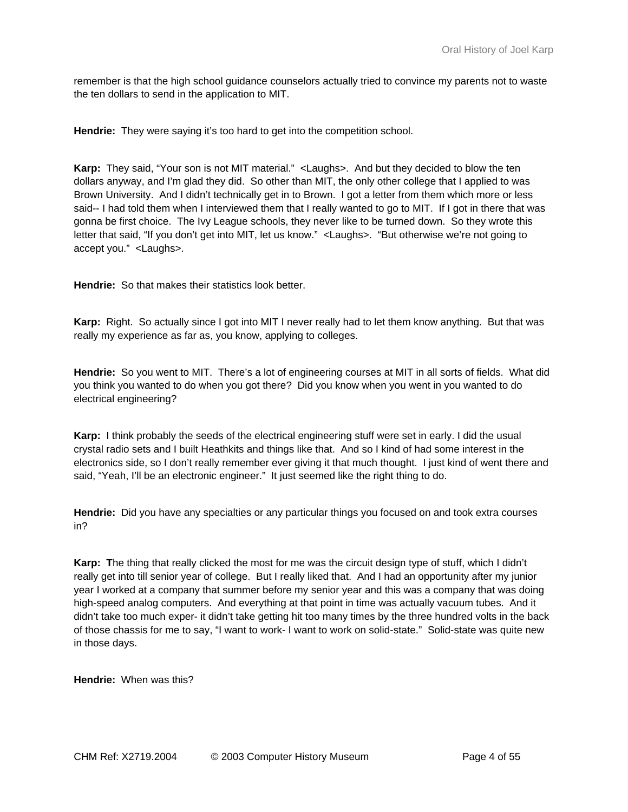remember is that the high school guidance counselors actually tried to convince my parents not to waste the ten dollars to send in the application to MIT.

**Hendrie:** They were saying it's too hard to get into the competition school.

**Karp:** They said, "Your son is not MIT material." <Laughs>. And but they decided to blow the ten dollars anyway, and I'm glad they did. So other than MIT, the only other college that I applied to was Brown University. And I didn't technically get in to Brown. I got a letter from them which more or less said-- I had told them when I interviewed them that I really wanted to go to MIT. If I got in there that was gonna be first choice. The Ivy League schools, they never like to be turned down. So they wrote this letter that said, "If you don't get into MIT, let us know." <Laughs>. "But otherwise we're not going to accept you." <Laughs>.

**Hendrie:** So that makes their statistics look better.

**Karp:** Right. So actually since I got into MIT I never really had to let them know anything. But that was really my experience as far as, you know, applying to colleges.

**Hendrie:** So you went to MIT. There's a lot of engineering courses at MIT in all sorts of fields. What did you think you wanted to do when you got there? Did you know when you went in you wanted to do electrical engineering?

**Karp:** I think probably the seeds of the electrical engineering stuff were set in early. I did the usual crystal radio sets and I built Heathkits and things like that. And so I kind of had some interest in the electronics side, so I don't really remember ever giving it that much thought. I just kind of went there and said, "Yeah, I'll be an electronic engineer." It just seemed like the right thing to do.

**Hendrie:** Did you have any specialties or any particular things you focused on and took extra courses in?

**Karp: T**he thing that really clicked the most for me was the circuit design type of stuff, which I didn't really get into till senior year of college. But I really liked that. And I had an opportunity after my junior year I worked at a company that summer before my senior year and this was a company that was doing high-speed analog computers. And everything at that point in time was actually vacuum tubes. And it didn't take too much exper- it didn't take getting hit too many times by the three hundred volts in the back of those chassis for me to say, "I want to work- I want to work on solid-state." Solid-state was quite new in those days.

**Hendrie:** When was this?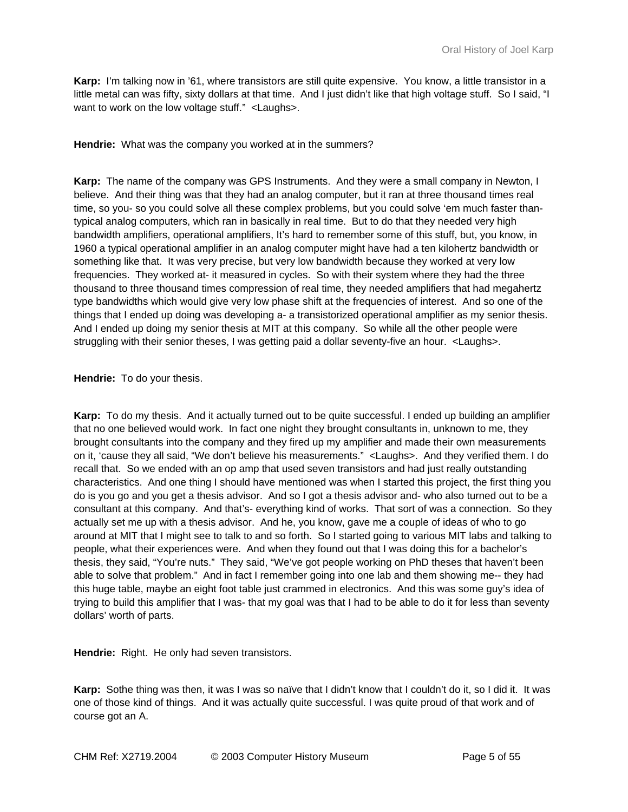**Karp:** I'm talking now in '61, where transistors are still quite expensive. You know, a little transistor in a little metal can was fifty, sixty dollars at that time. And I just didn't like that high voltage stuff. So I said, "I want to work on the low voltage stuff." <Laughs>.

**Hendrie:** What was the company you worked at in the summers?

**Karp:** The name of the company was GPS Instruments. And they were a small company in Newton, I believe. And their thing was that they had an analog computer, but it ran at three thousand times real time, so you- so you could solve all these complex problems, but you could solve 'em much faster thantypical analog computers, which ran in basically in real time. But to do that they needed very high bandwidth amplifiers, operational amplifiers, It's hard to remember some of this stuff, but, you know, in 1960 a typical operational amplifier in an analog computer might have had a ten kilohertz bandwidth or something like that. It was very precise, but very low bandwidth because they worked at very low frequencies. They worked at- it measured in cycles. So with their system where they had the three thousand to three thousand times compression of real time, they needed amplifiers that had megahertz type bandwidths which would give very low phase shift at the frequencies of interest. And so one of the things that I ended up doing was developing a- a transistorized operational amplifier as my senior thesis. And I ended up doing my senior thesis at MIT at this company. So while all the other people were struggling with their senior theses, I was getting paid a dollar seventy-five an hour. <Laughs>.

## **Hendrie:** To do your thesis.

**Karp:** To do my thesis. And it actually turned out to be quite successful. I ended up building an amplifier that no one believed would work. In fact one night they brought consultants in, unknown to me, they brought consultants into the company and they fired up my amplifier and made their own measurements on it, 'cause they all said, "We don't believe his measurements." <Laughs>. And they verified them. I do recall that. So we ended with an op amp that used seven transistors and had just really outstanding characteristics. And one thing I should have mentioned was when I started this project, the first thing you do is you go and you get a thesis advisor. And so I got a thesis advisor and- who also turned out to be a consultant at this company. And that's- everything kind of works. That sort of was a connection. So they actually set me up with a thesis advisor. And he, you know, gave me a couple of ideas of who to go around at MIT that I might see to talk to and so forth. So I started going to various MIT labs and talking to people, what their experiences were. And when they found out that I was doing this for a bachelor's thesis, they said, "You're nuts." They said, "We've got people working on PhD theses that haven't been able to solve that problem." And in fact I remember going into one lab and them showing me-- they had this huge table, maybe an eight foot table just crammed in electronics. And this was some guy's idea of trying to build this amplifier that I was- that my goal was that I had to be able to do it for less than seventy dollars' worth of parts.

**Hendrie:** Right. He only had seven transistors.

**Karp:** Sothe thing was then, it was I was so naïve that I didn't know that I couldn't do it, so I did it. It was one of those kind of things. And it was actually quite successful. I was quite proud of that work and of course got an A.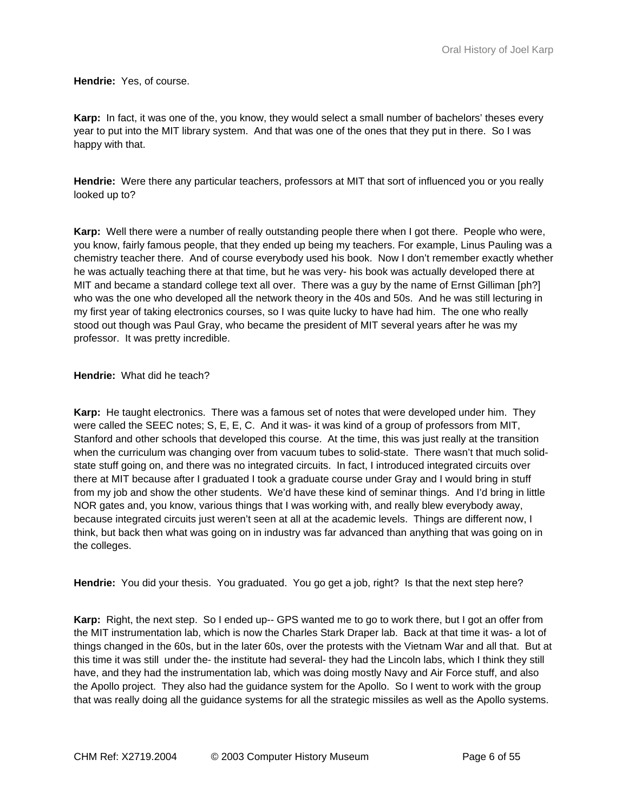**Hendrie:** Yes, of course.

**Karp:** In fact, it was one of the, you know, they would select a small number of bachelors' theses every year to put into the MIT library system. And that was one of the ones that they put in there. So I was happy with that.

**Hendrie:** Were there any particular teachers, professors at MIT that sort of influenced you or you really looked up to?

**Karp:** Well there were a number of really outstanding people there when I got there. People who were, you know, fairly famous people, that they ended up being my teachers. For example, Linus Pauling was a chemistry teacher there. And of course everybody used his book. Now I don't remember exactly whether he was actually teaching there at that time, but he was very- his book was actually developed there at MIT and became a standard college text all over. There was a guy by the name of Ernst Gilliman [ph?] who was the one who developed all the network theory in the 40s and 50s. And he was still lecturing in my first year of taking electronics courses, so I was quite lucky to have had him. The one who really stood out though was Paul Gray, who became the president of MIT several years after he was my professor. It was pretty incredible.

**Hendrie:** What did he teach?

**Karp:** He taught electronics. There was a famous set of notes that were developed under him. They were called the SEEC notes; S, E, E, C. And it was- it was kind of a group of professors from MIT, Stanford and other schools that developed this course. At the time, this was just really at the transition when the curriculum was changing over from vacuum tubes to solid-state. There wasn't that much solidstate stuff going on, and there was no integrated circuits. In fact, I introduced integrated circuits over there at MIT because after I graduated I took a graduate course under Gray and I would bring in stuff from my job and show the other students. We'd have these kind of seminar things. And I'd bring in little NOR gates and, you know, various things that I was working with, and really blew everybody away, because integrated circuits just weren't seen at all at the academic levels. Things are different now, I think, but back then what was going on in industry was far advanced than anything that was going on in the colleges.

**Hendrie:** You did your thesis. You graduated. You go get a job, right? Is that the next step here?

**Karp:** Right, the next step. So I ended up-- GPS wanted me to go to work there, but I got an offer from the MIT instrumentation lab, which is now the Charles Stark Draper lab. Back at that time it was- a lot of things changed in the 60s, but in the later 60s, over the protests with the Vietnam War and all that. But at this time it was still under the- the institute had several- they had the Lincoln labs, which I think they still have, and they had the instrumentation lab, which was doing mostly Navy and Air Force stuff, and also the Apollo project. They also had the guidance system for the Apollo. So I went to work with the group that was really doing all the guidance systems for all the strategic missiles as well as the Apollo systems.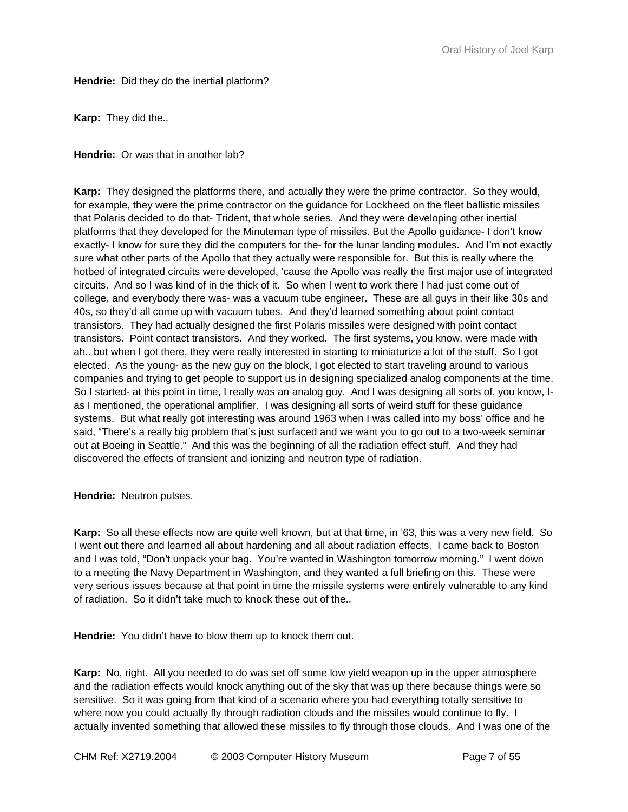**Hendrie:** Did they do the inertial platform?

**Karp:** They did the..

**Hendrie:** Or was that in another lab?

**Karp:** They designed the platforms there, and actually they were the prime contractor. So they would, for example, they were the prime contractor on the guidance for Lockheed on the fleet ballistic missiles that Polaris decided to do that- Trident, that whole series. And they were developing other inertial platforms that they developed for the Minuteman type of missiles. But the Apollo guidance- I don't know exactly- I know for sure they did the computers for the- for the lunar landing modules. And I'm not exactly sure what other parts of the Apollo that they actually were responsible for. But this is really where the hotbed of integrated circuits were developed, 'cause the Apollo was really the first major use of integrated circuits. And so I was kind of in the thick of it. So when I went to work there I had just come out of college, and everybody there was- was a vacuum tube engineer. These are all guys in their like 30s and 40s, so they'd all come up with vacuum tubes. And they'd learned something about point contact transistors. They had actually designed the first Polaris missiles were designed with point contact transistors. Point contact transistors. And they worked. The first systems, you know, were made with ah.. but when I got there, they were really interested in starting to miniaturize a lot of the stuff. So I got elected. As the young- as the new guy on the block, I got elected to start traveling around to various companies and trying to get people to support us in designing specialized analog components at the time. So I started- at this point in time, I really was an analog guy. And I was designing all sorts of, you know, Ias I mentioned, the operational amplifier. I was designing all sorts of weird stuff for these guidance systems. But what really got interesting was around 1963 when I was called into my boss' office and he said, "There's a really big problem that's just surfaced and we want you to go out to a two-week seminar out at Boeing in Seattle." And this was the beginning of all the radiation effect stuff. And they had discovered the effects of transient and ionizing and neutron type of radiation.

**Hendrie:** Neutron pulses.

**Karp:** So all these effects now are quite well known, but at that time, in '63, this was a very new field. So I went out there and learned all about hardening and all about radiation effects. I came back to Boston and I was told, "Don't unpack your bag. You're wanted in Washington tomorrow morning." I went down to a meeting the Navy Department in Washington, and they wanted a full briefing on this. These were very serious issues because at that point in time the missile systems were entirely vulnerable to any kind of radiation. So it didn't take much to knock these out of the..

**Hendrie:** You didn't have to blow them up to knock them out.

**Karp:** No, right. All you needed to do was set off some low yield weapon up in the upper atmosphere and the radiation effects would knock anything out of the sky that was up there because things were so sensitive. So it was going from that kind of a scenario where you had everything totally sensitive to where now you could actually fly through radiation clouds and the missiles would continue to fly. I actually invented something that allowed these missiles to fly through those clouds. And I was one of the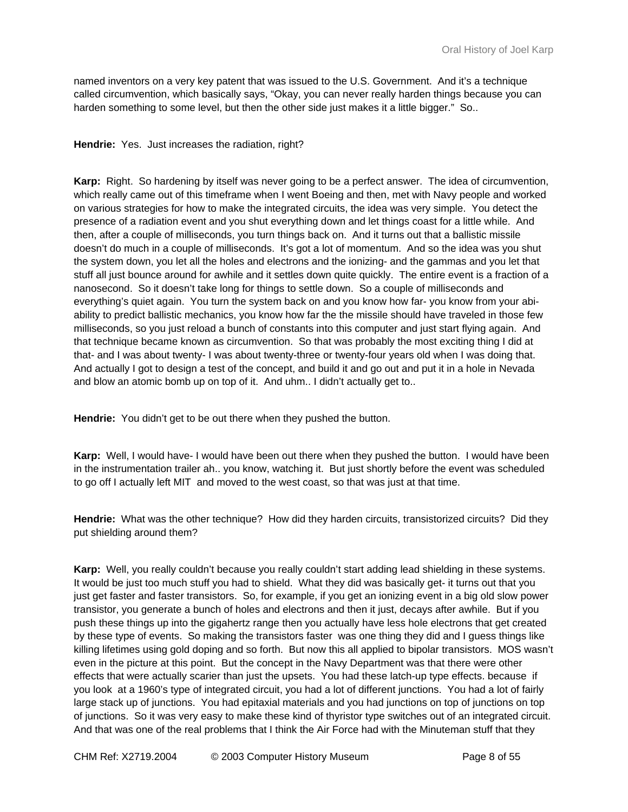named inventors on a very key patent that was issued to the U.S. Government. And it's a technique called circumvention, which basically says, "Okay, you can never really harden things because you can harden something to some level, but then the other side just makes it a little bigger." So..

**Hendrie:** Yes. Just increases the radiation, right?

**Karp:** Right. So hardening by itself was never going to be a perfect answer. The idea of circumvention, which really came out of this timeframe when I went Boeing and then, met with Navy people and worked on various strategies for how to make the integrated circuits, the idea was very simple. You detect the presence of a radiation event and you shut everything down and let things coast for a little while. And then, after a couple of milliseconds, you turn things back on. And it turns out that a ballistic missile doesn't do much in a couple of milliseconds. It's got a lot of momentum. And so the idea was you shut the system down, you let all the holes and electrons and the ionizing- and the gammas and you let that stuff all just bounce around for awhile and it settles down quite quickly. The entire event is a fraction of a nanosecond. So it doesn't take long for things to settle down. So a couple of milliseconds and everything's quiet again. You turn the system back on and you know how far- you know from your abiability to predict ballistic mechanics, you know how far the the missile should have traveled in those few milliseconds, so you just reload a bunch of constants into this computer and just start flying again. And that technique became known as circumvention. So that was probably the most exciting thing I did at that- and I was about twenty- I was about twenty-three or twenty-four years old when I was doing that. And actually I got to design a test of the concept, and build it and go out and put it in a hole in Nevada and blow an atomic bomb up on top of it. And uhm.. I didn't actually get to..

**Hendrie:** You didn't get to be out there when they pushed the button.

**Karp:** Well, I would have- I would have been out there when they pushed the button. I would have been in the instrumentation trailer ah.. you know, watching it. But just shortly before the event was scheduled to go off I actually left MIT and moved to the west coast, so that was just at that time.

**Hendrie:** What was the other technique? How did they harden circuits, transistorized circuits? Did they put shielding around them?

**Karp:** Well, you really couldn't because you really couldn't start adding lead shielding in these systems. It would be just too much stuff you had to shield. What they did was basically get- it turns out that you just get faster and faster transistors. So, for example, if you get an ionizing event in a big old slow power transistor, you generate a bunch of holes and electrons and then it just, decays after awhile. But if you push these things up into the gigahertz range then you actually have less hole electrons that get created by these type of events. So making the transistors faster was one thing they did and I guess things like killing lifetimes using gold doping and so forth. But now this all applied to bipolar transistors. MOS wasn't even in the picture at this point. But the concept in the Navy Department was that there were other effects that were actually scarier than just the upsets. You had these latch-up type effects. because if you look at a 1960's type of integrated circuit, you had a lot of different junctions. You had a lot of fairly large stack up of junctions. You had epitaxial materials and you had junctions on top of junctions on top of junctions. So it was very easy to make these kind of thyristor type switches out of an integrated circuit. And that was one of the real problems that I think the Air Force had with the Minuteman stuff that they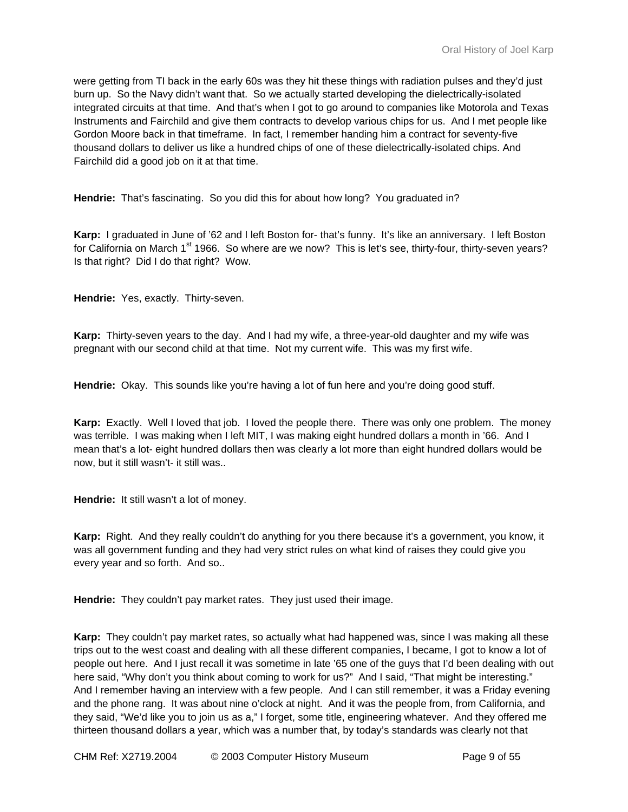were getting from TI back in the early 60s was they hit these things with radiation pulses and they'd just burn up. So the Navy didn't want that. So we actually started developing the dielectrically-isolated integrated circuits at that time. And that's when I got to go around to companies like Motorola and Texas Instruments and Fairchild and give them contracts to develop various chips for us. And I met people like Gordon Moore back in that timeframe. In fact, I remember handing him a contract for seventy-five thousand dollars to deliver us like a hundred chips of one of these dielectrically-isolated chips. And Fairchild did a good job on it at that time.

**Hendrie:** That's fascinating. So you did this for about how long? You graduated in?

**Karp:** I graduated in June of '62 and I left Boston for- that's funny. It's like an anniversary. I left Boston for California on March 1<sup>st</sup> 1966. So where are we now? This is let's see, thirty-four, thirty-seven years? Is that right? Did I do that right? Wow.

**Hendrie:** Yes, exactly. Thirty-seven.

**Karp:** Thirty-seven years to the day. And I had my wife, a three-year-old daughter and my wife was pregnant with our second child at that time. Not my current wife. This was my first wife.

**Hendrie:** Okay. This sounds like you're having a lot of fun here and you're doing good stuff.

Karp: Exactly. Well I loved that job. I loved the people there. There was only one problem. The money was terrible. I was making when I left MIT, I was making eight hundred dollars a month in '66. And I mean that's a lot- eight hundred dollars then was clearly a lot more than eight hundred dollars would be now, but it still wasn't- it still was..

**Hendrie:** It still wasn't a lot of money.

**Karp:** Right. And they really couldn't do anything for you there because it's a government, you know, it was all government funding and they had very strict rules on what kind of raises they could give you every year and so forth. And so..

**Hendrie:** They couldn't pay market rates. They just used their image.

**Karp:** They couldn't pay market rates, so actually what had happened was, since I was making all these trips out to the west coast and dealing with all these different companies, I became, I got to know a lot of people out here. And I just recall it was sometime in late '65 one of the guys that I'd been dealing with out here said, "Why don't you think about coming to work for us?" And I said, "That might be interesting." And I remember having an interview with a few people. And I can still remember, it was a Friday evening and the phone rang. It was about nine o'clock at night. And it was the people from, from California, and they said, "We'd like you to join us as a," I forget, some title, engineering whatever. And they offered me thirteen thousand dollars a year, which was a number that, by today's standards was clearly not that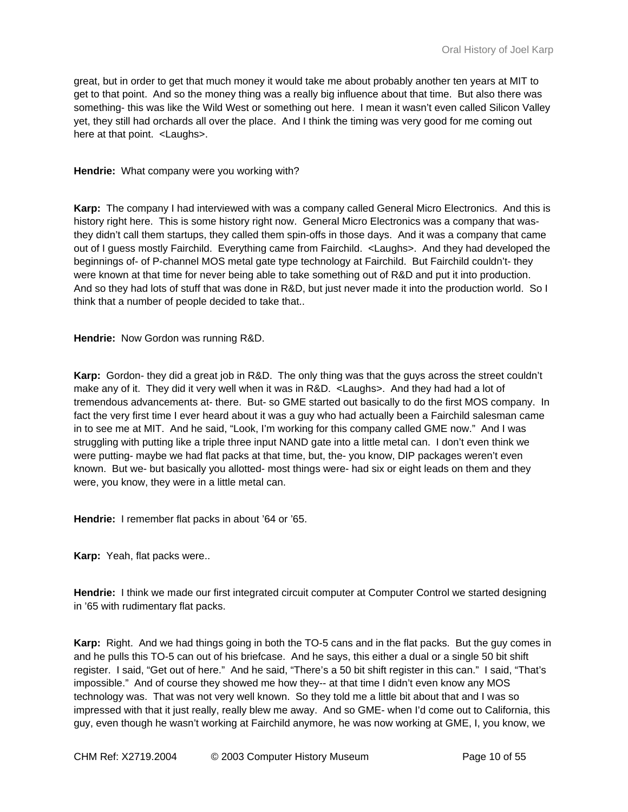great, but in order to get that much money it would take me about probably another ten years at MIT to get to that point. And so the money thing was a really big influence about that time. But also there was something- this was like the Wild West or something out here. I mean it wasn't even called Silicon Valley yet, they still had orchards all over the place. And I think the timing was very good for me coming out here at that point. <Laughs>.

#### **Hendrie:** What company were you working with?

**Karp:** The company I had interviewed with was a company called General Micro Electronics. And this is history right here. This is some history right now. General Micro Electronics was a company that wasthey didn't call them startups, they called them spin-offs in those days. And it was a company that came out of I guess mostly Fairchild. Everything came from Fairchild. <Laughs>. And they had developed the beginnings of- of P-channel MOS metal gate type technology at Fairchild. But Fairchild couldn't- they were known at that time for never being able to take something out of R&D and put it into production. And so they had lots of stuff that was done in R&D, but just never made it into the production world. So I think that a number of people decided to take that..

**Hendrie:** Now Gordon was running R&D.

**Karp:** Gordon- they did a great job in R&D. The only thing was that the guys across the street couldn't make any of it. They did it very well when it was in R&D. <Laughs>. And they had had a lot of tremendous advancements at- there. But- so GME started out basically to do the first MOS company. In fact the very first time I ever heard about it was a guy who had actually been a Fairchild salesman came in to see me at MIT. And he said, "Look, I'm working for this company called GME now." And I was struggling with putting like a triple three input NAND gate into a little metal can. I don't even think we were putting- maybe we had flat packs at that time, but, the- you know, DIP packages weren't even known. But we- but basically you allotted- most things were- had six or eight leads on them and they were, you know, they were in a little metal can.

**Hendrie:** I remember flat packs in about '64 or '65.

**Karp:** Yeah, flat packs were..

**Hendrie:** I think we made our first integrated circuit computer at Computer Control we started designing in '65 with rudimentary flat packs.

**Karp:** Right. And we had things going in both the TO-5 cans and in the flat packs. But the guy comes in and he pulls this TO-5 can out of his briefcase. And he says, this either a dual or a single 50 bit shift register. I said, "Get out of here." And he said, "There's a 50 bit shift register in this can." I said, "That's impossible." And of course they showed me how they-- at that time I didn't even know any MOS technology was. That was not very well known. So they told me a little bit about that and I was so impressed with that it just really, really blew me away. And so GME- when I'd come out to California, this guy, even though he wasn't working at Fairchild anymore, he was now working at GME, I, you know, we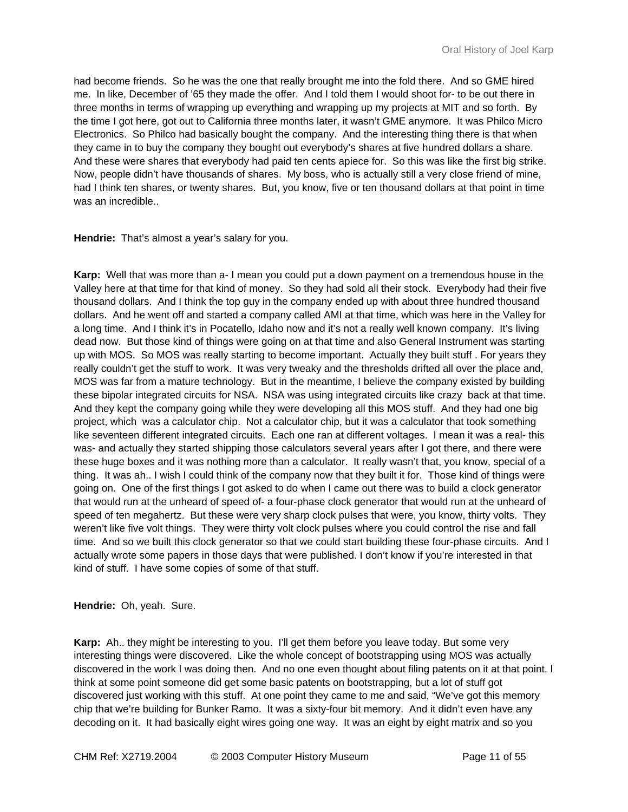had become friends. So he was the one that really brought me into the fold there. And so GME hired me. In like, December of '65 they made the offer. And I told them I would shoot for- to be out there in three months in terms of wrapping up everything and wrapping up my projects at MIT and so forth. By the time I got here, got out to California three months later, it wasn't GME anymore. It was Philco Micro Electronics. So Philco had basically bought the company. And the interesting thing there is that when they came in to buy the company they bought out everybody's shares at five hundred dollars a share. And these were shares that everybody had paid ten cents apiece for. So this was like the first big strike. Now, people didn't have thousands of shares. My boss, who is actually still a very close friend of mine, had I think ten shares, or twenty shares. But, you know, five or ten thousand dollars at that point in time was an incredible..

**Hendrie:** That's almost a year's salary for you.

**Karp:** Well that was more than a- I mean you could put a down payment on a tremendous house in the Valley here at that time for that kind of money. So they had sold all their stock. Everybody had their five thousand dollars. And I think the top guy in the company ended up with about three hundred thousand dollars. And he went off and started a company called AMI at that time, which was here in the Valley for a long time. And I think it's in Pocatello, Idaho now and it's not a really well known company. It's living dead now. But those kind of things were going on at that time and also General Instrument was starting up with MOS. So MOS was really starting to become important. Actually they built stuff . For years they really couldn't get the stuff to work. It was very tweaky and the thresholds drifted all over the place and, MOS was far from a mature technology. But in the meantime, I believe the company existed by building these bipolar integrated circuits for NSA. NSA was using integrated circuits like crazy back at that time. And they kept the company going while they were developing all this MOS stuff. And they had one big project, which was a calculator chip. Not a calculator chip, but it was a calculator that took something like seventeen different integrated circuits. Each one ran at different voltages. I mean it was a real- this was- and actually they started shipping those calculators several years after I got there, and there were these huge boxes and it was nothing more than a calculator. It really wasn't that, you know, special of a thing. It was ah.. I wish I could think of the company now that they built it for. Those kind of things were going on. One of the first things I got asked to do when I came out there was to build a clock generator that would run at the unheard of speed of- a four-phase clock generator that would run at the unheard of speed of ten megahertz. But these were very sharp clock pulses that were, you know, thirty volts. They weren't like five volt things. They were thirty volt clock pulses where you could control the rise and fall time. And so we built this clock generator so that we could start building these four-phase circuits. And I actually wrote some papers in those days that were published. I don't know if you're interested in that kind of stuff. I have some copies of some of that stuff.

**Hendrie:** Oh, yeah. Sure.

**Karp:** Ah.. they might be interesting to you. I'll get them before you leave today. But some very interesting things were discovered. Like the whole concept of bootstrapping using MOS was actually discovered in the work I was doing then. And no one even thought about filing patents on it at that point. I think at some point someone did get some basic patents on bootstrapping, but a lot of stuff got discovered just working with this stuff. At one point they came to me and said, "We've got this memory chip that we're building for Bunker Ramo. It was a sixty-four bit memory. And it didn't even have any decoding on it. It had basically eight wires going one way. It was an eight by eight matrix and so you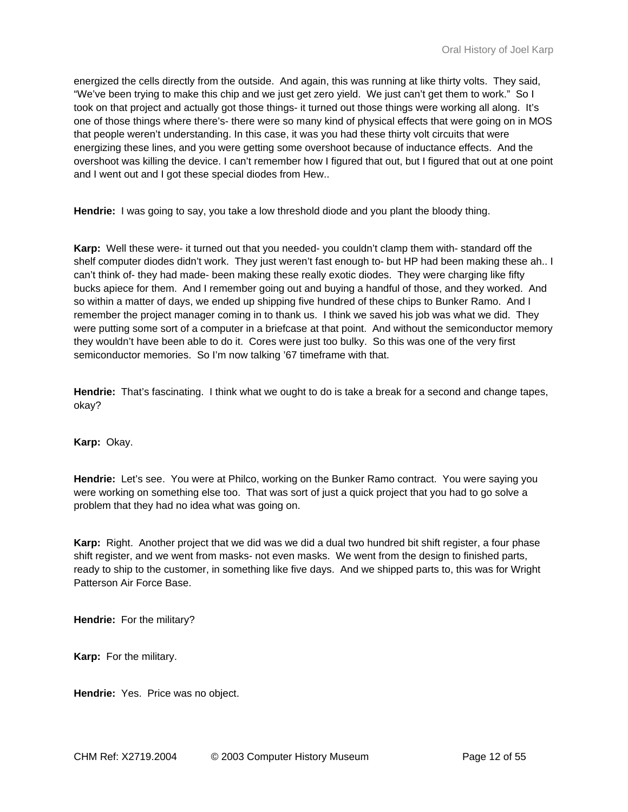energized the cells directly from the outside. And again, this was running at like thirty volts. They said, "We've been trying to make this chip and we just get zero yield. We just can't get them to work." So I took on that project and actually got those things- it turned out those things were working all along. It's one of those things where there's- there were so many kind of physical effects that were going on in MOS that people weren't understanding. In this case, it was you had these thirty volt circuits that were energizing these lines, and you were getting some overshoot because of inductance effects. And the overshoot was killing the device. I can't remember how I figured that out, but I figured that out at one point and I went out and I got these special diodes from Hew..

**Hendrie:** I was going to say, you take a low threshold diode and you plant the bloody thing.

**Karp:** Well these were- it turned out that you needed- you couldn't clamp them with- standard off the shelf computer diodes didn't work. They just weren't fast enough to- but HP had been making these ah.. I can't think of- they had made- been making these really exotic diodes. They were charging like fifty bucks apiece for them. And I remember going out and buying a handful of those, and they worked. And so within a matter of days, we ended up shipping five hundred of these chips to Bunker Ramo. And I remember the project manager coming in to thank us. I think we saved his job was what we did. They were putting some sort of a computer in a briefcase at that point. And without the semiconductor memory they wouldn't have been able to do it. Cores were just too bulky. So this was one of the very first semiconductor memories. So I'm now talking '67 timeframe with that.

**Hendrie:** That's fascinating. I think what we ought to do is take a break for a second and change tapes, okay?

**Karp:** Okay.

**Hendrie:** Let's see. You were at Philco, working on the Bunker Ramo contract. You were saying you were working on something else too. That was sort of just a quick project that you had to go solve a problem that they had no idea what was going on.

**Karp:** Right. Another project that we did was we did a dual two hundred bit shift register, a four phase shift register, and we went from masks- not even masks. We went from the design to finished parts, ready to ship to the customer, in something like five days. And we shipped parts to, this was for Wright Patterson Air Force Base.

**Hendrie:** For the military?

**Karp:** For the military.

**Hendrie:** Yes. Price was no object.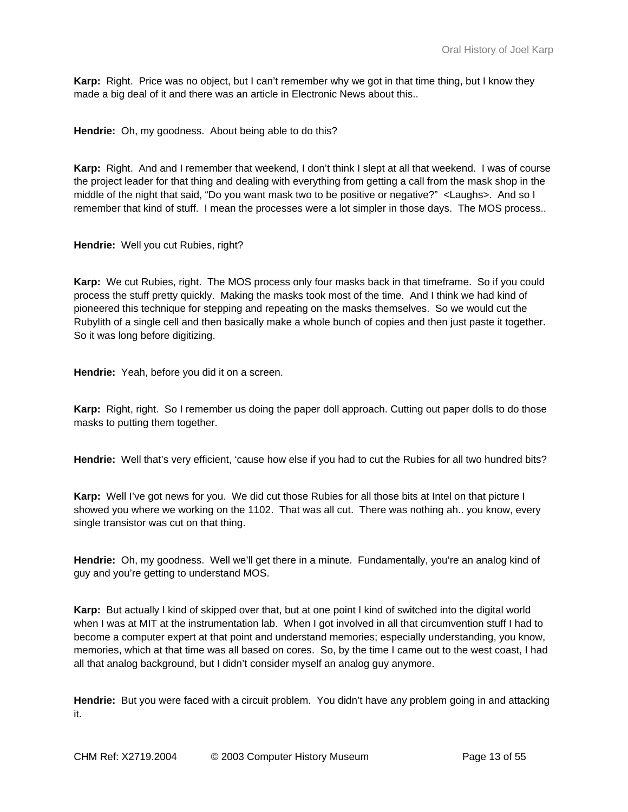**Karp:** Right. Price was no object, but I can't remember why we got in that time thing, but I know they made a big deal of it and there was an article in Electronic News about this..

**Hendrie:** Oh, my goodness. About being able to do this?

**Karp:** Right. And and I remember that weekend, I don't think I slept at all that weekend. I was of course the project leader for that thing and dealing with everything from getting a call from the mask shop in the middle of the night that said, "Do you want mask two to be positive or negative?" <Laughs>. And so I remember that kind of stuff. I mean the processes were a lot simpler in those days. The MOS process..

**Hendrie:** Well you cut Rubies, right?

**Karp:** We cut Rubies, right. The MOS process only four masks back in that timeframe. So if you could process the stuff pretty quickly. Making the masks took most of the time. And I think we had kind of pioneered this technique for stepping and repeating on the masks themselves. So we would cut the Rubylith of a single cell and then basically make a whole bunch of copies and then just paste it together. So it was long before digitizing.

**Hendrie:** Yeah, before you did it on a screen.

**Karp:** Right, right. So I remember us doing the paper doll approach. Cutting out paper dolls to do those masks to putting them together.

**Hendrie:** Well that's very efficient, 'cause how else if you had to cut the Rubies for all two hundred bits?

**Karp:** Well I've got news for you. We did cut those Rubies for all those bits at Intel on that picture I showed you where we working on the 1102. That was all cut. There was nothing ah.. you know, every single transistor was cut on that thing.

**Hendrie:** Oh, my goodness. Well we'll get there in a minute. Fundamentally, you're an analog kind of guy and you're getting to understand MOS.

**Karp:** But actually I kind of skipped over that, but at one point I kind of switched into the digital world when I was at MIT at the instrumentation lab. When I got involved in all that circumvention stuff I had to become a computer expert at that point and understand memories; especially understanding, you know, memories, which at that time was all based on cores. So, by the time I came out to the west coast, I had all that analog background, but I didn't consider myself an analog guy anymore.

**Hendrie:** But you were faced with a circuit problem. You didn't have any problem going in and attacking it.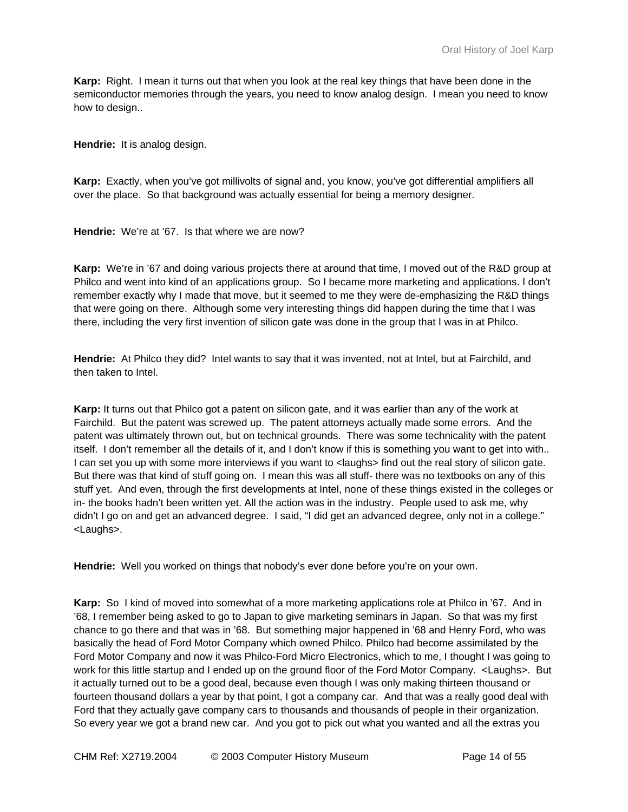**Karp:** Right. I mean it turns out that when you look at the real key things that have been done in the semiconductor memories through the years, you need to know analog design. I mean you need to know how to design..

**Hendrie:** It is analog design.

**Karp:** Exactly, when you've got millivolts of signal and, you know, you've got differential amplifiers all over the place. So that background was actually essential for being a memory designer.

**Hendrie:** We're at '67. Is that where we are now?

**Karp:** We're in '67 and doing various projects there at around that time, I moved out of the R&D group at Philco and went into kind of an applications group. So I became more marketing and applications. I don't remember exactly why I made that move, but it seemed to me they were de-emphasizing the R&D things that were going on there. Although some very interesting things did happen during the time that I was there, including the very first invention of silicon gate was done in the group that I was in at Philco.

**Hendrie:** At Philco they did? Intel wants to say that it was invented, not at Intel, but at Fairchild, and then taken to Intel.

**Karp:** It turns out that Philco got a patent on silicon gate, and it was earlier than any of the work at Fairchild. But the patent was screwed up. The patent attorneys actually made some errors. And the patent was ultimately thrown out, but on technical grounds. There was some technicality with the patent itself. I don't remember all the details of it, and I don't know if this is something you want to get into with.. I can set you up with some more interviews if you want to <laughs> find out the real story of silicon gate. But there was that kind of stuff going on. I mean this was all stuff- there was no textbooks on any of this stuff yet. And even, through the first developments at Intel, none of these things existed in the colleges or in- the books hadn't been written yet. All the action was in the industry. People used to ask me, why didn't I go on and get an advanced degree. I said, "I did get an advanced degree, only not in a college." <Laughs>.

**Hendrie:** Well you worked on things that nobody's ever done before you're on your own.

**Karp:** So I kind of moved into somewhat of a more marketing applications role at Philco in '67. And in '68, I remember being asked to go to Japan to give marketing seminars in Japan. So that was my first chance to go there and that was in '68. But something major happened in '68 and Henry Ford, who was basically the head of Ford Motor Company which owned Philco. Philco had become assimilated by the Ford Motor Company and now it was Philco-Ford Micro Electronics, which to me, I thought I was going to work for this little startup and I ended up on the ground floor of the Ford Motor Company. <Laughs>. But it actually turned out to be a good deal, because even though I was only making thirteen thousand or fourteen thousand dollars a year by that point, I got a company car. And that was a really good deal with Ford that they actually gave company cars to thousands and thousands of people in their organization. So every year we got a brand new car. And you got to pick out what you wanted and all the extras you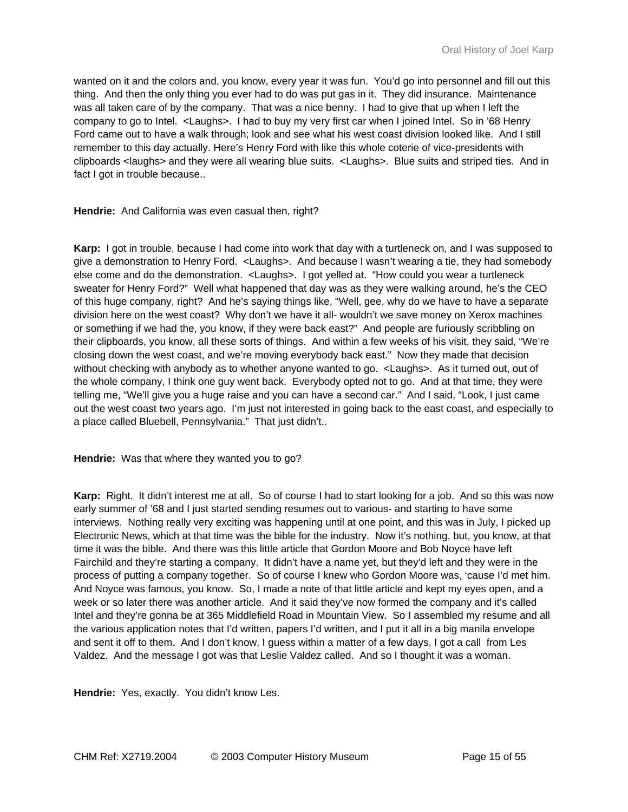wanted on it and the colors and, you know, every year it was fun. You'd go into personnel and fill out this thing. And then the only thing you ever had to do was put gas in it. They did insurance. Maintenance was all taken care of by the company. That was a nice benny. I had to give that up when I left the company to go to Intel. <Laughs>. I had to buy my very first car when I joined Intel. So in '68 Henry Ford came out to have a walk through; look and see what his west coast division looked like. And I still remember to this day actually. Here's Henry Ford with like this whole coterie of vice-presidents with clipboards <laughs> and they were all wearing blue suits. <Laughs>. Blue suits and striped ties. And in fact I got in trouble because..

**Hendrie:** And California was even casual then, right?

**Karp:** I got in trouble, because I had come into work that day with a turtleneck on, and I was supposed to give a demonstration to Henry Ford. <Laughs>. And because I wasn't wearing a tie, they had somebody else come and do the demonstration. <Laughs>. I got yelled at. "How could you wear a turtleneck sweater for Henry Ford?" Well what happened that day was as they were walking around, he's the CEO of this huge company, right? And he's saying things like, "Well, gee, why do we have to have a separate division here on the west coast? Why don't we have it all- wouldn't we save money on Xerox machines or something if we had the, you know, if they were back east?" And people are furiously scribbling on their clipboards, you know, all these sorts of things. And within a few weeks of his visit, they said, "We're closing down the west coast, and we're moving everybody back east." Now they made that decision without checking with anybody as to whether anyone wanted to go. < Laughs>. As it turned out, out of the whole company, I think one guy went back. Everybody opted not to go. And at that time, they were telling me, "We'll give you a huge raise and you can have a second car." And I said, "Look, I just came out the west coast two years ago. I'm just not interested in going back to the east coast, and especially to a place called Bluebell, Pennsylvania." That just didn't..

**Hendrie:** Was that where they wanted you to go?

**Karp:** Right. It didn't interest me at all. So of course I had to start looking for a job. And so this was now early summer of '68 and I just started sending resumes out to various- and starting to have some interviews. Nothing really very exciting was happening until at one point, and this was in July, I picked up Electronic News, which at that time was the bible for the industry. Now it's nothing, but, you know, at that time it was the bible. And there was this little article that Gordon Moore and Bob Noyce have left Fairchild and they're starting a company. It didn't have a name yet, but they'd left and they were in the process of putting a company together. So of course I knew who Gordon Moore was, 'cause I'd met him. And Noyce was famous, you know. So, I made a note of that little article and kept my eyes open, and a week or so later there was another article. And it said they've now formed the company and it's called Intel and they're gonna be at 365 Middlefield Road in Mountain View. So I assembled my resume and all the various application notes that I'd written, papers I'd written, and I put it all in a big manila envelope and sent it off to them. And I don't know, I guess within a matter of a few days, I got a call from Les Valdez. And the message I got was that Leslie Valdez called. And so I thought it was a woman.

**Hendrie:** Yes, exactly. You didn't know Les.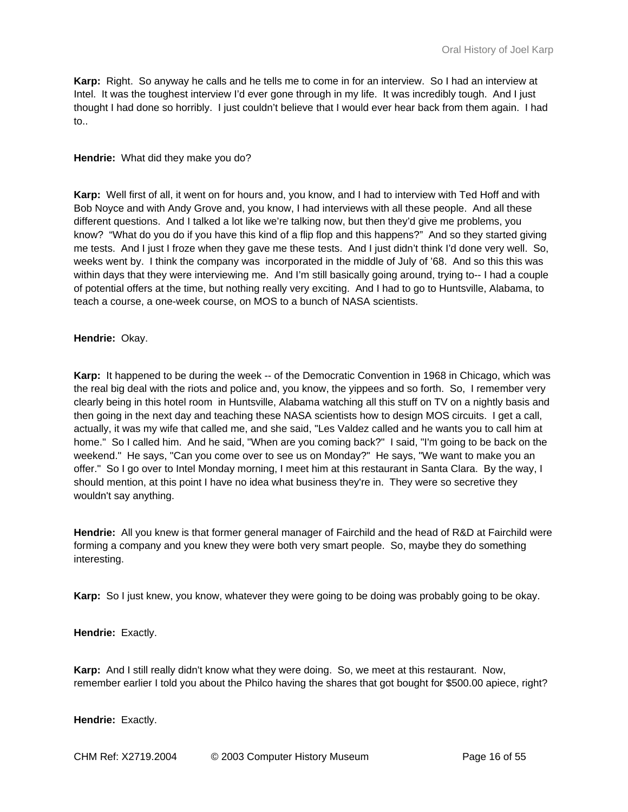**Karp:** Right. So anyway he calls and he tells me to come in for an interview. So I had an interview at Intel. It was the toughest interview I'd ever gone through in my life. It was incredibly tough. And I just thought I had done so horribly. I just couldn't believe that I would ever hear back from them again. I had to..

## **Hendrie:** What did they make you do?

**Karp:** Well first of all, it went on for hours and, you know, and I had to interview with Ted Hoff and with Bob Noyce and with Andy Grove and, you know, I had interviews with all these people. And all these different questions. And I talked a lot like we're talking now, but then they'd give me problems, you know? "What do you do if you have this kind of a flip flop and this happens?" And so they started giving me tests. And I just I froze when they gave me these tests. And I just didn't think I'd done very well. So, weeks went by. I think the company was incorporated in the middle of July of '68. And so this this was within days that they were interviewing me. And I'm still basically going around, trying to-- I had a couple of potential offers at the time, but nothing really very exciting. And I had to go to Huntsville, Alabama, to teach a course, a one-week course, on MOS to a bunch of NASA scientists.

## **Hendrie:** Okay.

**Karp:** It happened to be during the week -- of the Democratic Convention in 1968 in Chicago, which was the real big deal with the riots and police and, you know, the yippees and so forth. So, I remember very clearly being in this hotel room in Huntsville, Alabama watching all this stuff on TV on a nightly basis and then going in the next day and teaching these NASA scientists how to design MOS circuits. I get a call, actually, it was my wife that called me, and she said, "Les Valdez called and he wants you to call him at home." So I called him. And he said, "When are you coming back?" I said, "I'm going to be back on the weekend." He says, "Can you come over to see us on Monday?" He says, "We want to make you an offer." So I go over to Intel Monday morning, I meet him at this restaurant in Santa Clara. By the way, I should mention, at this point I have no idea what business they're in. They were so secretive they wouldn't say anything.

**Hendrie:** All you knew is that former general manager of Fairchild and the head of R&D at Fairchild were forming a company and you knew they were both very smart people. So, maybe they do something interesting.

**Karp:** So I just knew, you know, whatever they were going to be doing was probably going to be okay.

**Hendrie:** Exactly.

**Karp:** And I still really didn't know what they were doing. So, we meet at this restaurant. Now, remember earlier I told you about the Philco having the shares that got bought for \$500.00 apiece, right?

**Hendrie:** Exactly.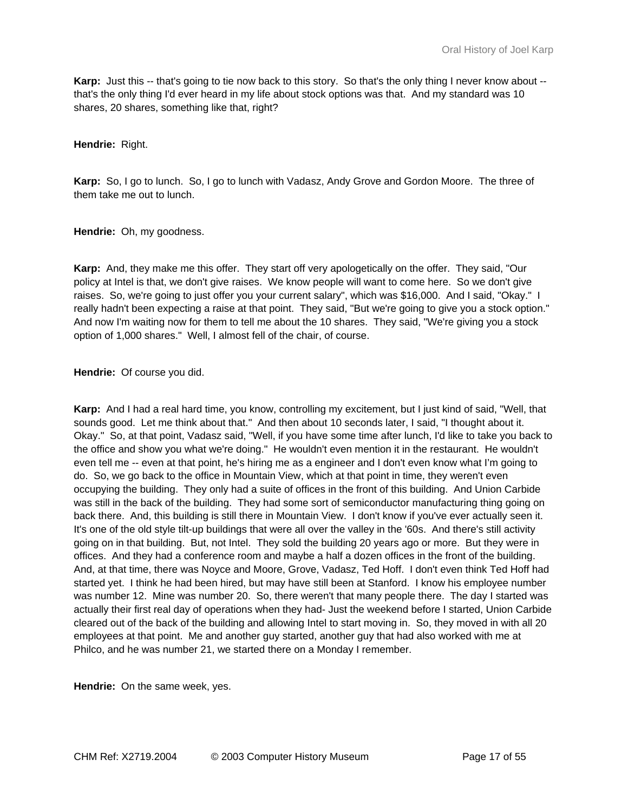**Karp:** Just this -- that's going to tie now back to this story. So that's the only thing I never know about -that's the only thing I'd ever heard in my life about stock options was that. And my standard was 10 shares, 20 shares, something like that, right?

**Hendrie:** Right.

**Karp:** So, I go to lunch. So, I go to lunch with Vadasz, Andy Grove and Gordon Moore. The three of them take me out to lunch.

**Hendrie:** Oh, my goodness.

**Karp:** And, they make me this offer. They start off very apologetically on the offer. They said, "Our policy at Intel is that, we don't give raises. We know people will want to come here. So we don't give raises. So, we're going to just offer you your current salary", which was \$16,000. And I said, "Okay." I really hadn't been expecting a raise at that point. They said, "But we're going to give you a stock option." And now I'm waiting now for them to tell me about the 10 shares. They said, "We're giving you a stock option of 1,000 shares." Well, I almost fell of the chair, of course.

**Hendrie:** Of course you did.

**Karp:** And I had a real hard time, you know, controlling my excitement, but I just kind of said, "Well, that sounds good. Let me think about that." And then about 10 seconds later, I said, "I thought about it. Okay." So, at that point, Vadasz said, "Well, if you have some time after lunch, I'd like to take you back to the office and show you what we're doing." He wouldn't even mention it in the restaurant. He wouldn't even tell me -- even at that point, he's hiring me as a engineer and I don't even know what I'm going to do. So, we go back to the office in Mountain View, which at that point in time, they weren't even occupying the building. They only had a suite of offices in the front of this building. And Union Carbide was still in the back of the building. They had some sort of semiconductor manufacturing thing going on back there. And, this building is still there in Mountain View. I don't know if you've ever actually seen it. It's one of the old style tilt-up buildings that were all over the valley in the '60s. And there's still activity going on in that building. But, not Intel. They sold the building 20 years ago or more. But they were in offices. And they had a conference room and maybe a half a dozen offices in the front of the building. And, at that time, there was Noyce and Moore, Grove, Vadasz, Ted Hoff. I don't even think Ted Hoff had started yet. I think he had been hired, but may have still been at Stanford. I know his employee number was number 12. Mine was number 20. So, there weren't that many people there. The day I started was actually their first real day of operations when they had- Just the weekend before I started, Union Carbide cleared out of the back of the building and allowing Intel to start moving in. So, they moved in with all 20 employees at that point. Me and another guy started, another guy that had also worked with me at Philco, and he was number 21, we started there on a Monday I remember.

**Hendrie:** On the same week, yes.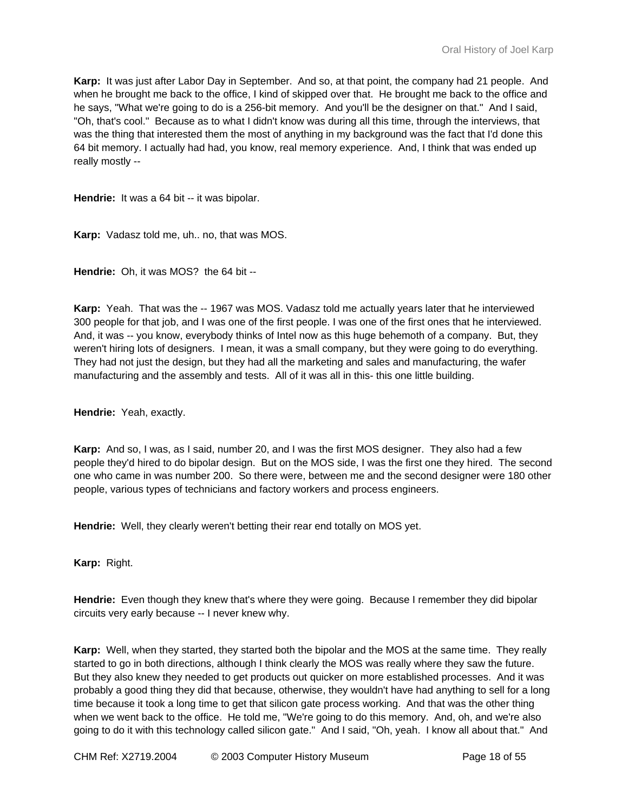**Karp:** It was just after Labor Day in September. And so, at that point, the company had 21 people. And when he brought me back to the office, I kind of skipped over that. He brought me back to the office and he says, "What we're going to do is a 256-bit memory. And you'll be the designer on that." And I said, "Oh, that's cool." Because as to what I didn't know was during all this time, through the interviews, that was the thing that interested them the most of anything in my background was the fact that I'd done this 64 bit memory. I actually had had, you know, real memory experience. And, I think that was ended up really mostly --

**Hendrie:** It was a 64 bit -- it was bipolar.

**Karp:** Vadasz told me, uh.. no, that was MOS.

**Hendrie:** Oh, it was MOS? the 64 bit --

**Karp:** Yeah. That was the -- 1967 was MOS. Vadasz told me actually years later that he interviewed 300 people for that job, and I was one of the first people. I was one of the first ones that he interviewed. And, it was -- you know, everybody thinks of Intel now as this huge behemoth of a company. But, they weren't hiring lots of designers. I mean, it was a small company, but they were going to do everything. They had not just the design, but they had all the marketing and sales and manufacturing, the wafer manufacturing and the assembly and tests. All of it was all in this- this one little building.

**Hendrie:** Yeah, exactly.

**Karp:** And so, I was, as I said, number 20, and I was the first MOS designer. They also had a few people they'd hired to do bipolar design. But on the MOS side, I was the first one they hired. The second one who came in was number 200. So there were, between me and the second designer were 180 other people, various types of technicians and factory workers and process engineers.

**Hendrie:** Well, they clearly weren't betting their rear end totally on MOS yet.

**Karp:** Right.

**Hendrie:** Even though they knew that's where they were going. Because I remember they did bipolar circuits very early because -- I never knew why.

**Karp:** Well, when they started, they started both the bipolar and the MOS at the same time. They really started to go in both directions, although I think clearly the MOS was really where they saw the future. But they also knew they needed to get products out quicker on more established processes. And it was probably a good thing they did that because, otherwise, they wouldn't have had anything to sell for a long time because it took a long time to get that silicon gate process working. And that was the other thing when we went back to the office. He told me, "We're going to do this memory. And, oh, and we're also going to do it with this technology called silicon gate." And I said, "Oh, yeah. I know all about that." And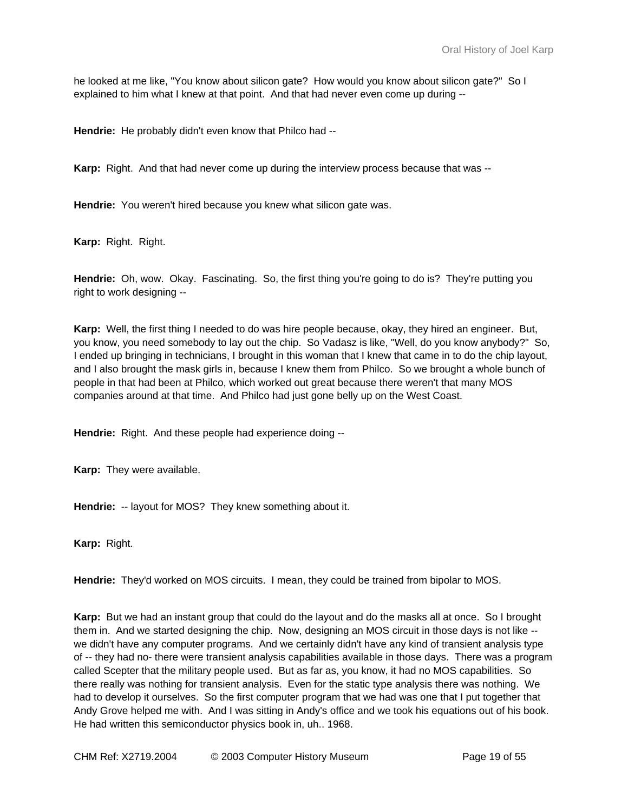he looked at me like, "You know about silicon gate? How would you know about silicon gate?" So I explained to him what I knew at that point. And that had never even come up during --

**Hendrie:** He probably didn't even know that Philco had --

**Karp:** Right. And that had never come up during the interview process because that was --

**Hendrie:** You weren't hired because you knew what silicon gate was.

**Karp:** Right. Right.

**Hendrie:** Oh, wow. Okay. Fascinating. So, the first thing you're going to do is? They're putting you right to work designing --

**Karp:** Well, the first thing I needed to do was hire people because, okay, they hired an engineer. But, you know, you need somebody to lay out the chip. So Vadasz is like, "Well, do you know anybody?" So, I ended up bringing in technicians, I brought in this woman that I knew that came in to do the chip layout, and I also brought the mask girls in, because I knew them from Philco. So we brought a whole bunch of people in that had been at Philco, which worked out great because there weren't that many MOS companies around at that time. And Philco had just gone belly up on the West Coast.

**Hendrie:** Right. And these people had experience doing --

**Karp:** They were available.

**Hendrie:** -- layout for MOS? They knew something about it.

**Karp:** Right.

**Hendrie:** They'd worked on MOS circuits. I mean, they could be trained from bipolar to MOS.

**Karp:** But we had an instant group that could do the layout and do the masks all at once. So I brought them in. And we started designing the chip. Now, designing an MOS circuit in those days is not like - we didn't have any computer programs. And we certainly didn't have any kind of transient analysis type of -- they had no- there were transient analysis capabilities available in those days. There was a program called Scepter that the military people used. But as far as, you know, it had no MOS capabilities. So there really was nothing for transient analysis. Even for the static type analysis there was nothing. We had to develop it ourselves. So the first computer program that we had was one that I put together that Andy Grove helped me with. And I was sitting in Andy's office and we took his equations out of his book. He had written this semiconductor physics book in, uh.. 1968.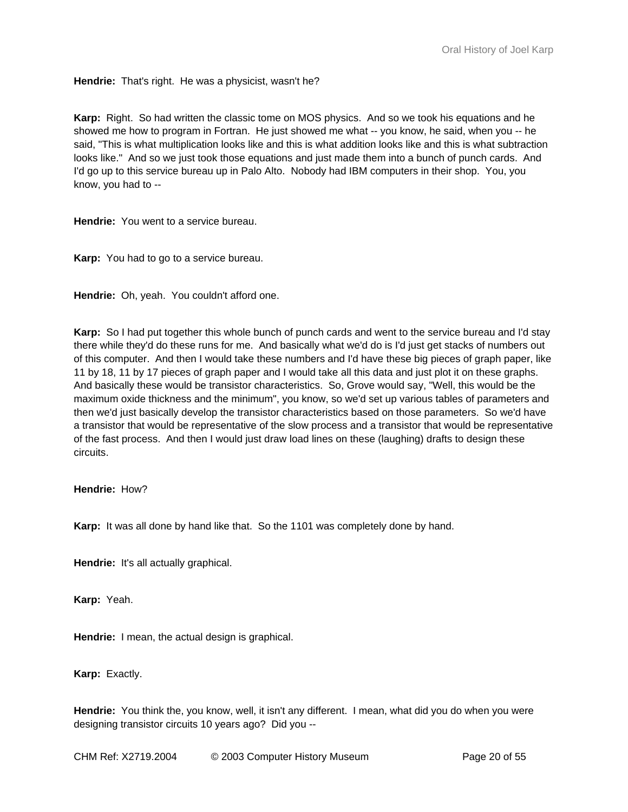**Hendrie:** That's right. He was a physicist, wasn't he?

**Karp:** Right. So had written the classic tome on MOS physics. And so we took his equations and he showed me how to program in Fortran. He just showed me what -- you know, he said, when you -- he said, "This is what multiplication looks like and this is what addition looks like and this is what subtraction looks like." And so we just took those equations and just made them into a bunch of punch cards. And I'd go up to this service bureau up in Palo Alto. Nobody had IBM computers in their shop. You, you know, you had to --

**Hendrie:** You went to a service bureau.

**Karp:** You had to go to a service bureau.

**Hendrie:** Oh, yeah. You couldn't afford one.

**Karp:** So I had put together this whole bunch of punch cards and went to the service bureau and I'd stay there while they'd do these runs for me. And basically what we'd do is I'd just get stacks of numbers out of this computer. And then I would take these numbers and I'd have these big pieces of graph paper, like 11 by 18, 11 by 17 pieces of graph paper and I would take all this data and just plot it on these graphs. And basically these would be transistor characteristics. So, Grove would say, "Well, this would be the maximum oxide thickness and the minimum", you know, so we'd set up various tables of parameters and then we'd just basically develop the transistor characteristics based on those parameters. So we'd have a transistor that would be representative of the slow process and a transistor that would be representative of the fast process. And then I would just draw load lines on these (laughing) drafts to design these circuits.

**Hendrie:** How?

**Karp:** It was all done by hand like that. So the 1101 was completely done by hand.

**Hendrie:** It's all actually graphical.

**Karp:** Yeah.

**Hendrie:** I mean, the actual design is graphical.

**Karp:** Exactly.

**Hendrie:** You think the, you know, well, it isn't any different. I mean, what did you do when you were designing transistor circuits 10 years ago? Did you --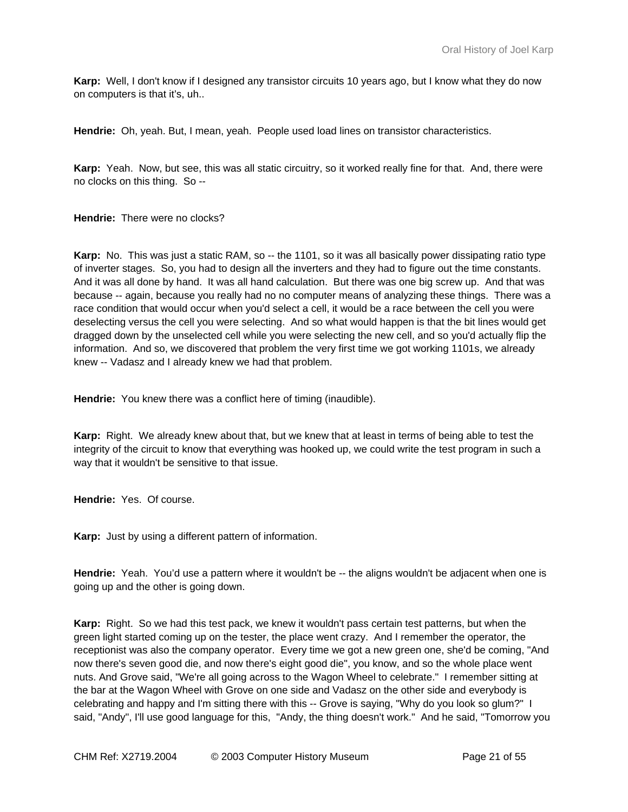**Karp:** Well, I don't know if I designed any transistor circuits 10 years ago, but I know what they do now on computers is that it's, uh..

**Hendrie:** Oh, yeah. But, I mean, yeah. People used load lines on transistor characteristics.

**Karp:** Yeah. Now, but see, this was all static circuitry, so it worked really fine for that. And, there were no clocks on this thing. So --

**Hendrie:** There were no clocks?

**Karp:** No. This was just a static RAM, so -- the 1101, so it was all basically power dissipating ratio type of inverter stages. So, you had to design all the inverters and they had to figure out the time constants. And it was all done by hand. It was all hand calculation. But there was one big screw up. And that was because -- again, because you really had no no computer means of analyzing these things. There was a race condition that would occur when you'd select a cell, it would be a race between the cell you were deselecting versus the cell you were selecting. And so what would happen is that the bit lines would get dragged down by the unselected cell while you were selecting the new cell, and so you'd actually flip the information. And so, we discovered that problem the very first time we got working 1101s, we already knew -- Vadasz and I already knew we had that problem.

Hendrie: You knew there was a conflict here of timing (inaudible).

**Karp:** Right. We already knew about that, but we knew that at least in terms of being able to test the integrity of the circuit to know that everything was hooked up, we could write the test program in such a way that it wouldn't be sensitive to that issue.

**Hendrie:** Yes. Of course.

**Karp:** Just by using a different pattern of information.

**Hendrie:** Yeah. You'd use a pattern where it wouldn't be -- the aligns wouldn't be adjacent when one is going up and the other is going down.

**Karp:** Right. So we had this test pack, we knew it wouldn't pass certain test patterns, but when the green light started coming up on the tester, the place went crazy. And I remember the operator, the receptionist was also the company operator. Every time we got a new green one, she'd be coming, "And now there's seven good die, and now there's eight good die", you know, and so the whole place went nuts. And Grove said, "We're all going across to the Wagon Wheel to celebrate." I remember sitting at the bar at the Wagon Wheel with Grove on one side and Vadasz on the other side and everybody is celebrating and happy and I'm sitting there with this -- Grove is saying, "Why do you look so glum?" I said, "Andy", I'll use good language for this, "Andy, the thing doesn't work." And he said, "Tomorrow you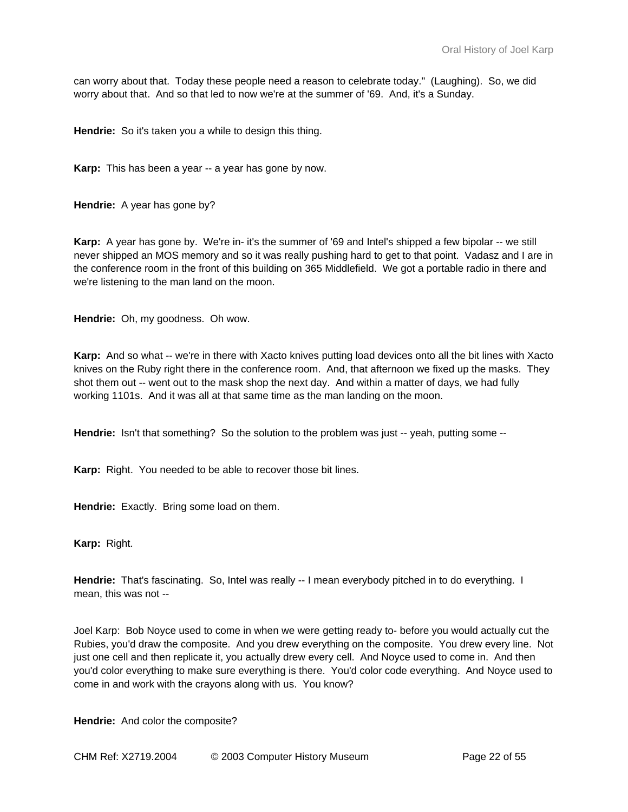can worry about that. Today these people need a reason to celebrate today." (Laughing). So, we did worry about that. And so that led to now we're at the summer of '69. And, it's a Sunday.

**Hendrie:** So it's taken you a while to design this thing.

**Karp:** This has been a year -- a year has gone by now.

**Hendrie:** A year has gone by?

**Karp:** A year has gone by. We're in- it's the summer of '69 and Intel's shipped a few bipolar -- we still never shipped an MOS memory and so it was really pushing hard to get to that point. Vadasz and I are in the conference room in the front of this building on 365 Middlefield. We got a portable radio in there and we're listening to the man land on the moon.

**Hendrie:** Oh, my goodness. Oh wow.

**Karp:** And so what -- we're in there with Xacto knives putting load devices onto all the bit lines with Xacto knives on the Ruby right there in the conference room. And, that afternoon we fixed up the masks. They shot them out -- went out to the mask shop the next day. And within a matter of days, we had fully working 1101s. And it was all at that same time as the man landing on the moon.

**Hendrie:** Isn't that something? So the solution to the problem was just -- yeah, putting some --

**Karp:** Right. You needed to be able to recover those bit lines.

**Hendrie:** Exactly. Bring some load on them.

**Karp:** Right.

**Hendrie:** That's fascinating. So, Intel was really -- I mean everybody pitched in to do everything. I mean, this was not --

Joel Karp: Bob Noyce used to come in when we were getting ready to- before you would actually cut the Rubies, you'd draw the composite. And you drew everything on the composite. You drew every line. Not just one cell and then replicate it, you actually drew every cell. And Noyce used to come in. And then you'd color everything to make sure everything is there. You'd color code everything. And Noyce used to come in and work with the crayons along with us. You know?

**Hendrie:** And color the composite?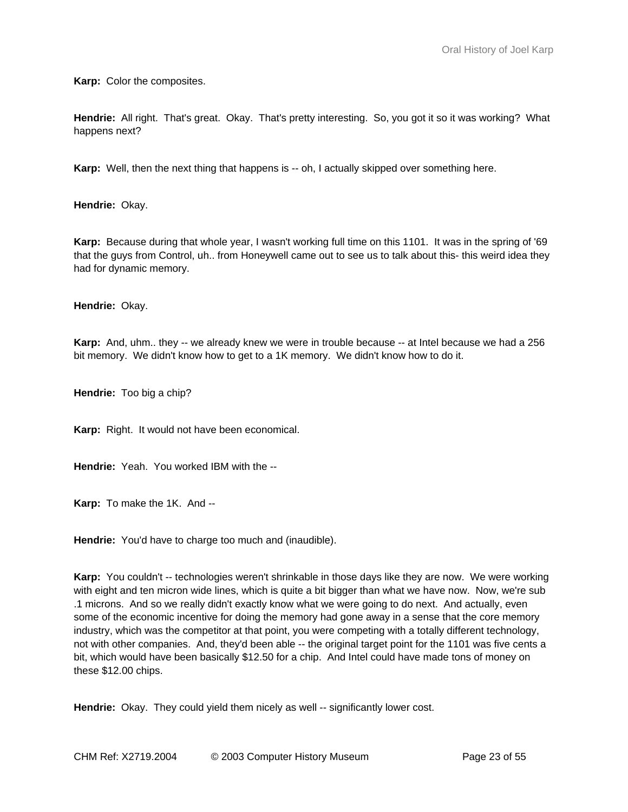**Karp:** Color the composites.

**Hendrie:** All right. That's great. Okay. That's pretty interesting. So, you got it so it was working? What happens next?

**Karp:** Well, then the next thing that happens is -- oh, I actually skipped over something here.

**Hendrie:** Okay.

**Karp:** Because during that whole year, I wasn't working full time on this 1101. It was in the spring of '69 that the guys from Control, uh.. from Honeywell came out to see us to talk about this- this weird idea they had for dynamic memory.

**Hendrie:** Okay.

**Karp:** And, uhm.. they -- we already knew we were in trouble because -- at Intel because we had a 256 bit memory. We didn't know how to get to a 1K memory. We didn't know how to do it.

**Hendrie:** Too big a chip?

**Karp:** Right. It would not have been economical.

**Hendrie:** Yeah. You worked IBM with the --

**Karp:** To make the 1K. And --

**Hendrie:** You'd have to charge too much and (inaudible).

**Karp:** You couldn't -- technologies weren't shrinkable in those days like they are now. We were working with eight and ten micron wide lines, which is quite a bit bigger than what we have now. Now, we're sub .1 microns. And so we really didn't exactly know what we were going to do next. And actually, even some of the economic incentive for doing the memory had gone away in a sense that the core memory industry, which was the competitor at that point, you were competing with a totally different technology, not with other companies. And, they'd been able -- the original target point for the 1101 was five cents a bit, which would have been basically \$12.50 for a chip. And Intel could have made tons of money on these \$12.00 chips.

**Hendrie:** Okay. They could yield them nicely as well -- significantly lower cost.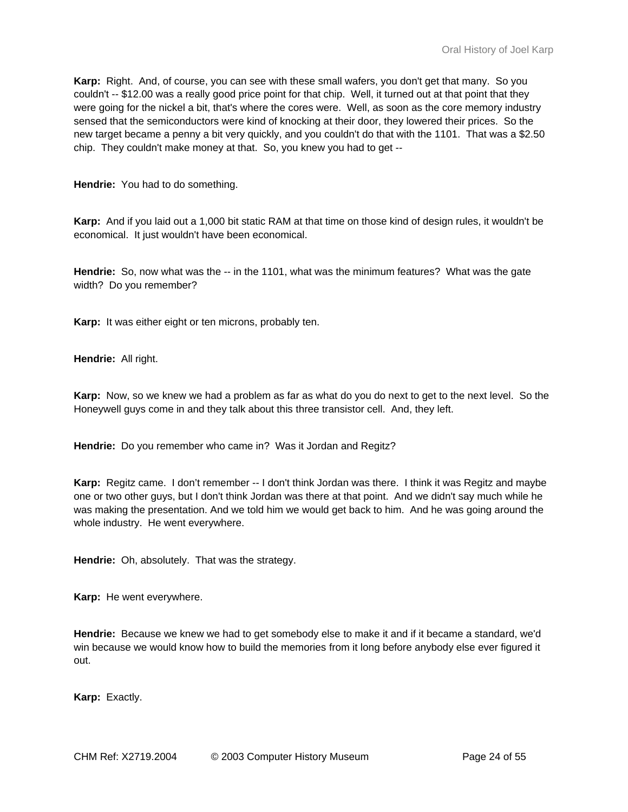**Karp:** Right. And, of course, you can see with these small wafers, you don't get that many. So you couldn't -- \$12.00 was a really good price point for that chip. Well, it turned out at that point that they were going for the nickel a bit, that's where the cores were. Well, as soon as the core memory industry sensed that the semiconductors were kind of knocking at their door, they lowered their prices. So the new target became a penny a bit very quickly, and you couldn't do that with the 1101. That was a \$2.50 chip. They couldn't make money at that. So, you knew you had to get --

**Hendrie:** You had to do something.

**Karp:** And if you laid out a 1,000 bit static RAM at that time on those kind of design rules, it wouldn't be economical. It just wouldn't have been economical.

**Hendrie:** So, now what was the -- in the 1101, what was the minimum features? What was the gate width? Do you remember?

**Karp:** It was either eight or ten microns, probably ten.

**Hendrie:** All right.

**Karp:** Now, so we knew we had a problem as far as what do you do next to get to the next level. So the Honeywell guys come in and they talk about this three transistor cell. And, they left.

**Hendrie:** Do you remember who came in? Was it Jordan and Regitz?

**Karp:** Regitz came. I don't remember -- I don't think Jordan was there. I think it was Regitz and maybe one or two other guys, but I don't think Jordan was there at that point. And we didn't say much while he was making the presentation. And we told him we would get back to him. And he was going around the whole industry. He went everywhere.

**Hendrie:** Oh, absolutely. That was the strategy.

**Karp:** He went everywhere.

**Hendrie:** Because we knew we had to get somebody else to make it and if it became a standard, we'd win because we would know how to build the memories from it long before anybody else ever figured it out.

**Karp:** Exactly.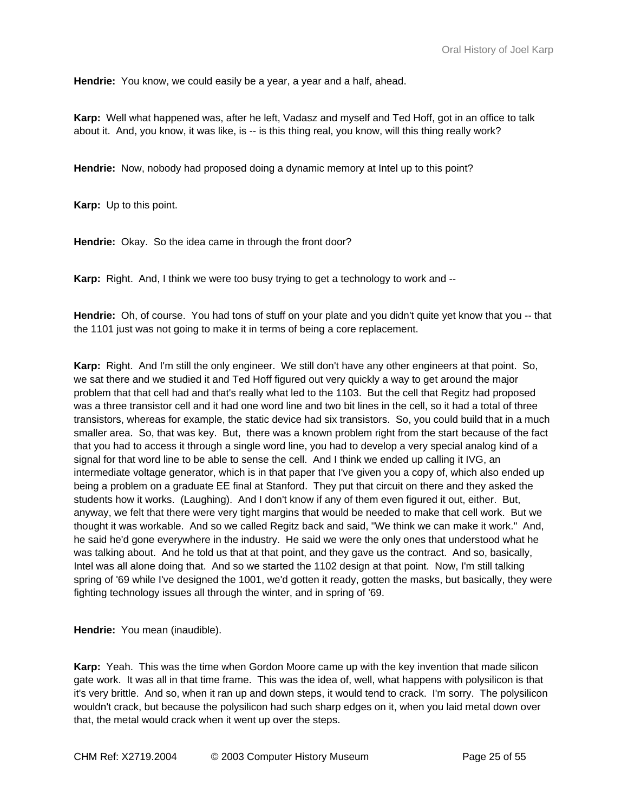**Hendrie:** You know, we could easily be a year, a year and a half, ahead.

**Karp:** Well what happened was, after he left, Vadasz and myself and Ted Hoff, got in an office to talk about it. And, you know, it was like, is -- is this thing real, you know, will this thing really work?

**Hendrie:** Now, nobody had proposed doing a dynamic memory at Intel up to this point?

**Karp:** Up to this point.

**Hendrie:** Okay. So the idea came in through the front door?

**Karp:** Right. And, I think we were too busy trying to get a technology to work and --

**Hendrie:** Oh, of course. You had tons of stuff on your plate and you didn't quite yet know that you -- that the 1101 just was not going to make it in terms of being a core replacement.

**Karp:** Right. And I'm still the only engineer. We still don't have any other engineers at that point. So, we sat there and we studied it and Ted Hoff figured out very quickly a way to get around the major problem that that cell had and that's really what led to the 1103. But the cell that Regitz had proposed was a three transistor cell and it had one word line and two bit lines in the cell, so it had a total of three transistors, whereas for example, the static device had six transistors. So, you could build that in a much smaller area. So, that was key. But, there was a known problem right from the start because of the fact that you had to access it through a single word line, you had to develop a very special analog kind of a signal for that word line to be able to sense the cell. And I think we ended up calling it IVG, an intermediate voltage generator, which is in that paper that I've given you a copy of, which also ended up being a problem on a graduate EE final at Stanford. They put that circuit on there and they asked the students how it works. (Laughing). And I don't know if any of them even figured it out, either. But, anyway, we felt that there were very tight margins that would be needed to make that cell work. But we thought it was workable. And so we called Regitz back and said, "We think we can make it work." And, he said he'd gone everywhere in the industry. He said we were the only ones that understood what he was talking about. And he told us that at that point, and they gave us the contract. And so, basically, Intel was all alone doing that. And so we started the 1102 design at that point. Now, I'm still talking spring of '69 while I've designed the 1001, we'd gotten it ready, gotten the masks, but basically, they were fighting technology issues all through the winter, and in spring of '69.

**Hendrie:** You mean (inaudible).

**Karp:** Yeah. This was the time when Gordon Moore came up with the key invention that made silicon gate work. It was all in that time frame. This was the idea of, well, what happens with polysilicon is that it's very brittle. And so, when it ran up and down steps, it would tend to crack. I'm sorry. The polysilicon wouldn't crack, but because the polysilicon had such sharp edges on it, when you laid metal down over that, the metal would crack when it went up over the steps.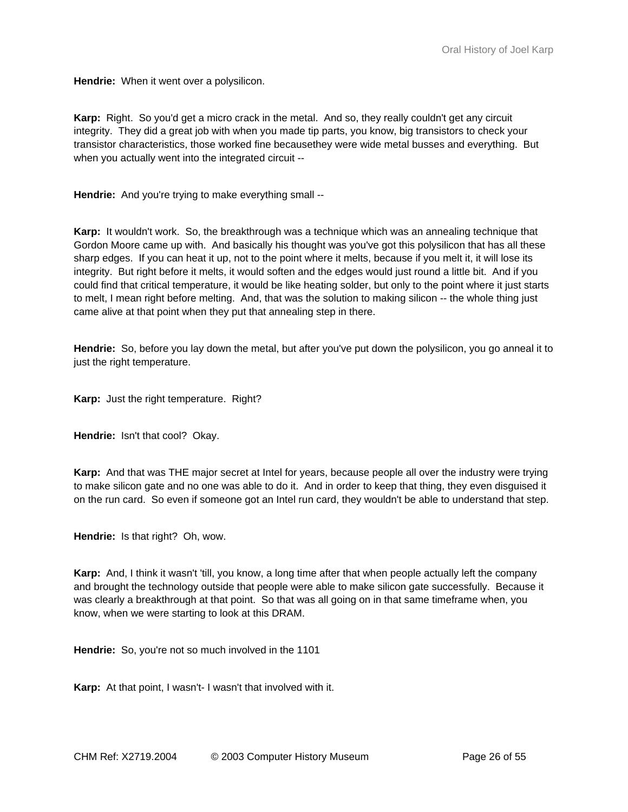**Hendrie:** When it went over a polysilicon.

**Karp:** Right. So you'd get a micro crack in the metal. And so, they really couldn't get any circuit integrity. They did a great job with when you made tip parts, you know, big transistors to check your transistor characteristics, those worked fine becausethey were wide metal busses and everything. But when you actually went into the integrated circuit --

**Hendrie:** And you're trying to make everything small --

**Karp:** It wouldn't work. So, the breakthrough was a technique which was an annealing technique that Gordon Moore came up with. And basically his thought was you've got this polysilicon that has all these sharp edges. If you can heat it up, not to the point where it melts, because if you melt it, it will lose its integrity. But right before it melts, it would soften and the edges would just round a little bit. And if you could find that critical temperature, it would be like heating solder, but only to the point where it just starts to melt, I mean right before melting. And, that was the solution to making silicon -- the whole thing just came alive at that point when they put that annealing step in there.

**Hendrie:** So, before you lay down the metal, but after you've put down the polysilicon, you go anneal it to just the right temperature.

**Karp:** Just the right temperature. Right?

**Hendrie:** Isn't that cool? Okay.

**Karp:** And that was THE major secret at Intel for years, because people all over the industry were trying to make silicon gate and no one was able to do it. And in order to keep that thing, they even disguised it on the run card. So even if someone got an Intel run card, they wouldn't be able to understand that step.

**Hendrie:** Is that right? Oh, wow.

**Karp:** And, I think it wasn't 'till, you know, a long time after that when people actually left the company and brought the technology outside that people were able to make silicon gate successfully. Because it was clearly a breakthrough at that point. So that was all going on in that same timeframe when, you know, when we were starting to look at this DRAM.

**Hendrie:** So, you're not so much involved in the 1101

**Karp:** At that point, I wasn't- I wasn't that involved with it.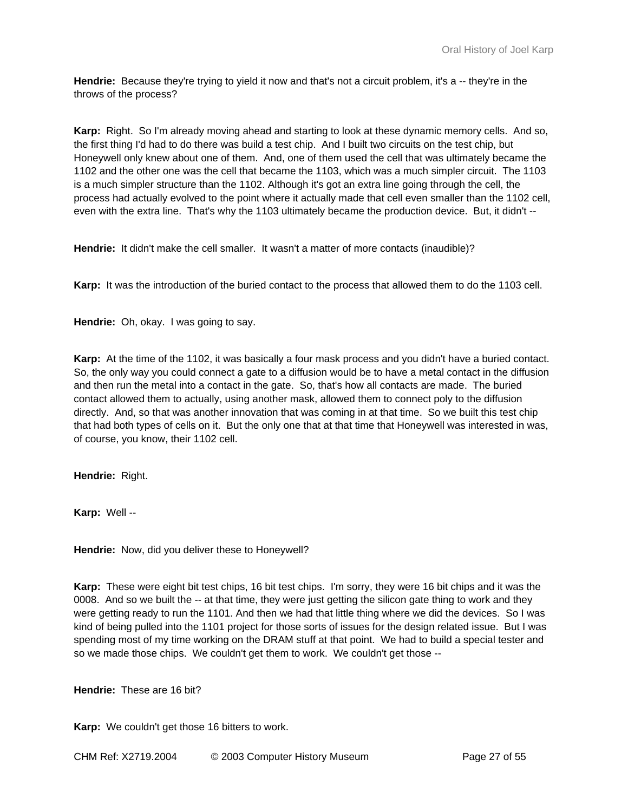**Hendrie:** Because they're trying to yield it now and that's not a circuit problem, it's a -- they're in the throws of the process?

**Karp:** Right. So I'm already moving ahead and starting to look at these dynamic memory cells. And so, the first thing I'd had to do there was build a test chip. And I built two circuits on the test chip, but Honeywell only knew about one of them. And, one of them used the cell that was ultimately became the 1102 and the other one was the cell that became the 1103, which was a much simpler circuit. The 1103 is a much simpler structure than the 1102. Although it's got an extra line going through the cell, the process had actually evolved to the point where it actually made that cell even smaller than the 1102 cell, even with the extra line. That's why the 1103 ultimately became the production device. But, it didn't --

**Hendrie:** It didn't make the cell smaller. It wasn't a matter of more contacts (inaudible)?

**Karp:** It was the introduction of the buried contact to the process that allowed them to do the 1103 cell.

**Hendrie:** Oh, okay. I was going to say.

**Karp:** At the time of the 1102, it was basically a four mask process and you didn't have a buried contact. So, the only way you could connect a gate to a diffusion would be to have a metal contact in the diffusion and then run the metal into a contact in the gate. So, that's how all contacts are made. The buried contact allowed them to actually, using another mask, allowed them to connect poly to the diffusion directly. And, so that was another innovation that was coming in at that time. So we built this test chip that had both types of cells on it. But the only one that at that time that Honeywell was interested in was, of course, you know, their 1102 cell.

**Hendrie:** Right.

**Karp:** Well --

**Hendrie:** Now, did you deliver these to Honeywell?

**Karp:** These were eight bit test chips, 16 bit test chips. I'm sorry, they were 16 bit chips and it was the 0008. And so we built the -- at that time, they were just getting the silicon gate thing to work and they were getting ready to run the 1101. And then we had that little thing where we did the devices. So I was kind of being pulled into the 1101 project for those sorts of issues for the design related issue. But I was spending most of my time working on the DRAM stuff at that point. We had to build a special tester and so we made those chips. We couldn't get them to work. We couldn't get those --

**Hendrie:** These are 16 bit?

**Karp:** We couldn't get those 16 bitters to work.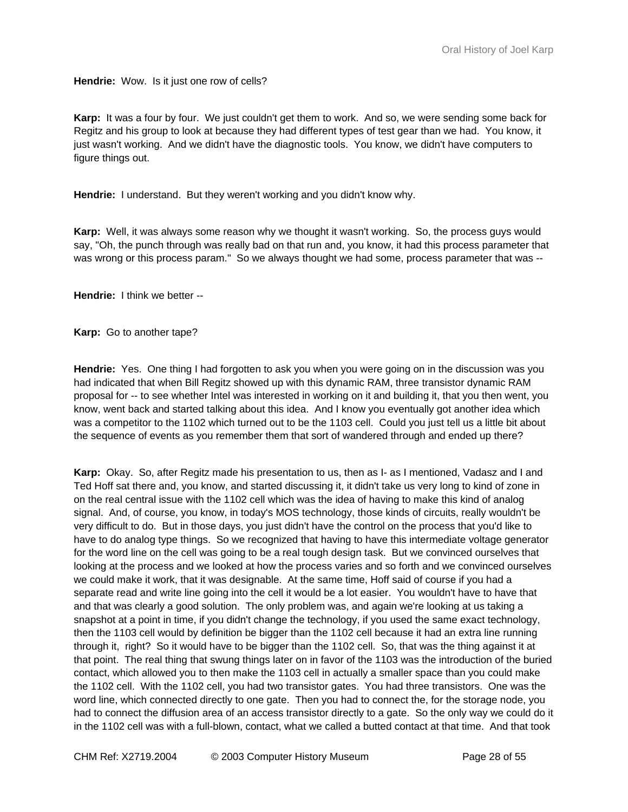**Hendrie:** Wow. Is it just one row of cells?

**Karp:** It was a four by four. We just couldn't get them to work. And so, we were sending some back for Regitz and his group to look at because they had different types of test gear than we had. You know, it just wasn't working. And we didn't have the diagnostic tools. You know, we didn't have computers to figure things out.

**Hendrie:** I understand. But they weren't working and you didn't know why.

**Karp:** Well, it was always some reason why we thought it wasn't working. So, the process guys would say, "Oh, the punch through was really bad on that run and, you know, it had this process parameter that was wrong or this process param." So we always thought we had some, process parameter that was --

**Hendrie:** I think we better --

**Karp:** Go to another tape?

**Hendrie:** Yes. One thing I had forgotten to ask you when you were going on in the discussion was you had indicated that when Bill Regitz showed up with this dynamic RAM, three transistor dynamic RAM proposal for -- to see whether Intel was interested in working on it and building it, that you then went, you know, went back and started talking about this idea. And I know you eventually got another idea which was a competitor to the 1102 which turned out to be the 1103 cell. Could you just tell us a little bit about the sequence of events as you remember them that sort of wandered through and ended up there?

**Karp:** Okay. So, after Regitz made his presentation to us, then as I- as I mentioned, Vadasz and I and Ted Hoff sat there and, you know, and started discussing it, it didn't take us very long to kind of zone in on the real central issue with the 1102 cell which was the idea of having to make this kind of analog signal. And, of course, you know, in today's MOS technology, those kinds of circuits, really wouldn't be very difficult to do. But in those days, you just didn't have the control on the process that you'd like to have to do analog type things. So we recognized that having to have this intermediate voltage generator for the word line on the cell was going to be a real tough design task. But we convinced ourselves that looking at the process and we looked at how the process varies and so forth and we convinced ourselves we could make it work, that it was designable. At the same time, Hoff said of course if you had a separate read and write line going into the cell it would be a lot easier. You wouldn't have to have that and that was clearly a good solution. The only problem was, and again we're looking at us taking a snapshot at a point in time, if you didn't change the technology, if you used the same exact technology, then the 1103 cell would by definition be bigger than the 1102 cell because it had an extra line running through it, right? So it would have to be bigger than the 1102 cell. So, that was the thing against it at that point. The real thing that swung things later on in favor of the 1103 was the introduction of the buried contact, which allowed you to then make the 1103 cell in actually a smaller space than you could make the 1102 cell. With the 1102 cell, you had two transistor gates. You had three transistors. One was the word line, which connected directly to one gate. Then you had to connect the, for the storage node, you had to connect the diffusion area of an access transistor directly to a gate. So the only way we could do it in the 1102 cell was with a full-blown, contact, what we called a butted contact at that time. And that took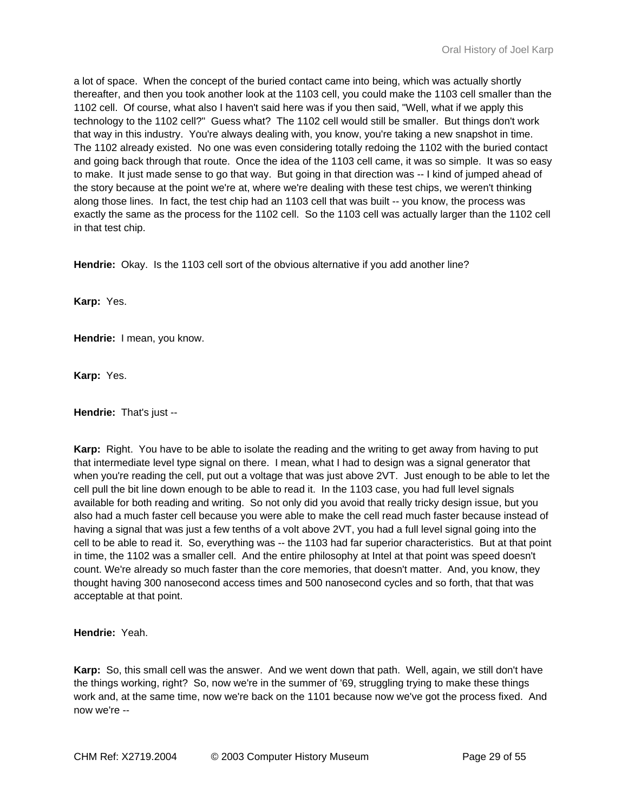a lot of space. When the concept of the buried contact came into being, which was actually shortly thereafter, and then you took another look at the 1103 cell, you could make the 1103 cell smaller than the 1102 cell. Of course, what also I haven't said here was if you then said, "Well, what if we apply this technology to the 1102 cell?" Guess what? The 1102 cell would still be smaller. But things don't work that way in this industry. You're always dealing with, you know, you're taking a new snapshot in time. The 1102 already existed. No one was even considering totally redoing the 1102 with the buried contact and going back through that route. Once the idea of the 1103 cell came, it was so simple. It was so easy to make. It just made sense to go that way. But going in that direction was -- I kind of jumped ahead of the story because at the point we're at, where we're dealing with these test chips, we weren't thinking along those lines. In fact, the test chip had an 1103 cell that was built -- you know, the process was exactly the same as the process for the 1102 cell. So the 1103 cell was actually larger than the 1102 cell in that test chip.

**Hendrie:** Okay. Is the 1103 cell sort of the obvious alternative if you add another line?

**Karp:** Yes.

**Hendrie:** I mean, you know.

**Karp:** Yes.

**Hendrie:** That's just --

**Karp:** Right. You have to be able to isolate the reading and the writing to get away from having to put that intermediate level type signal on there. I mean, what I had to design was a signal generator that when you're reading the cell, put out a voltage that was just above 2VT. Just enough to be able to let the cell pull the bit line down enough to be able to read it. In the 1103 case, you had full level signals available for both reading and writing. So not only did you avoid that really tricky design issue, but you also had a much faster cell because you were able to make the cell read much faster because instead of having a signal that was just a few tenths of a volt above 2VT, you had a full level signal going into the cell to be able to read it. So, everything was -- the 1103 had far superior characteristics. But at that point in time, the 1102 was a smaller cell. And the entire philosophy at Intel at that point was speed doesn't count. We're already so much faster than the core memories, that doesn't matter. And, you know, they thought having 300 nanosecond access times and 500 nanosecond cycles and so forth, that that was acceptable at that point.

**Hendrie:** Yeah.

**Karp:** So, this small cell was the answer. And we went down that path. Well, again, we still don't have the things working, right? So, now we're in the summer of '69, struggling trying to make these things work and, at the same time, now we're back on the 1101 because now we've got the process fixed. And now we're --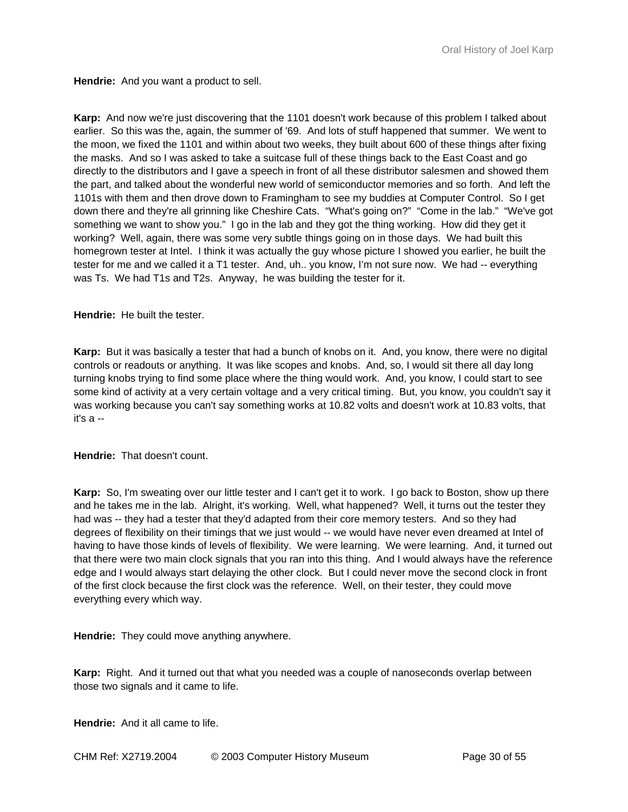**Hendrie:** And you want a product to sell.

**Karp:** And now we're just discovering that the 1101 doesn't work because of this problem I talked about earlier. So this was the, again, the summer of '69. And lots of stuff happened that summer. We went to the moon, we fixed the 1101 and within about two weeks, they built about 600 of these things after fixing the masks. And so I was asked to take a suitcase full of these things back to the East Coast and go directly to the distributors and I gave a speech in front of all these distributor salesmen and showed them the part, and talked about the wonderful new world of semiconductor memories and so forth. And left the 1101s with them and then drove down to Framingham to see my buddies at Computer Control. So I get down there and they're all grinning like Cheshire Cats. "What's going on?" "Come in the lab." "We've got something we want to show you." I go in the lab and they got the thing working. How did they get it working? Well, again, there was some very subtle things going on in those days. We had built this homegrown tester at Intel. I think it was actually the guy whose picture I showed you earlier, he built the tester for me and we called it a T1 tester. And, uh.. you know, I'm not sure now. We had -- everything was Ts. We had T1s and T2s. Anyway, he was building the tester for it.

**Hendrie:** He built the tester.

**Karp:** But it was basically a tester that had a bunch of knobs on it. And, you know, there were no digital controls or readouts or anything. It was like scopes and knobs. And, so, I would sit there all day long turning knobs trying to find some place where the thing would work. And, you know, I could start to see some kind of activity at a very certain voltage and a very critical timing. But, you know, you couldn't say it was working because you can't say something works at 10.82 volts and doesn't work at 10.83 volts, that it's a --

**Hendrie:** That doesn't count.

**Karp:** So, I'm sweating over our little tester and I can't get it to work. I go back to Boston, show up there and he takes me in the lab. Alright, it's working. Well, what happened? Well, it turns out the tester they had was -- they had a tester that they'd adapted from their core memory testers. And so they had degrees of flexibility on their timings that we just would -- we would have never even dreamed at Intel of having to have those kinds of levels of flexibility. We were learning. We were learning. And, it turned out that there were two main clock signals that you ran into this thing. And I would always have the reference edge and I would always start delaying the other clock. But I could never move the second clock in front of the first clock because the first clock was the reference. Well, on their tester, they could move everything every which way.

**Hendrie:** They could move anything anywhere.

**Karp:** Right. And it turned out that what you needed was a couple of nanoseconds overlap between those two signals and it came to life.

**Hendrie:** And it all came to life.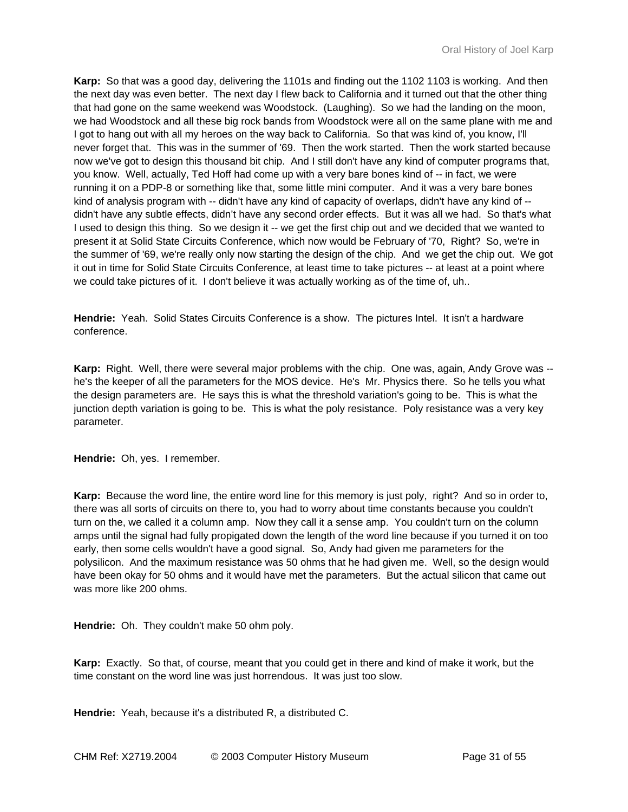**Karp:** So that was a good day, delivering the 1101s and finding out the 1102 1103 is working. And then the next day was even better. The next day I flew back to California and it turned out that the other thing that had gone on the same weekend was Woodstock. (Laughing). So we had the landing on the moon, we had Woodstock and all these big rock bands from Woodstock were all on the same plane with me and I got to hang out with all my heroes on the way back to California. So that was kind of, you know, I'll never forget that. This was in the summer of '69. Then the work started. Then the work started because now we've got to design this thousand bit chip. And I still don't have any kind of computer programs that, you know. Well, actually, Ted Hoff had come up with a very bare bones kind of -- in fact, we were running it on a PDP-8 or something like that, some little mini computer. And it was a very bare bones kind of analysis program with -- didn't have any kind of capacity of overlaps, didn't have any kind of - didn't have any subtle effects, didn't have any second order effects. But it was all we had. So that's what I used to design this thing. So we design it -- we get the first chip out and we decided that we wanted to present it at Solid State Circuits Conference, which now would be February of '70, Right? So, we're in the summer of '69, we're really only now starting the design of the chip. And we get the chip out. We got it out in time for Solid State Circuits Conference, at least time to take pictures -- at least at a point where we could take pictures of it. I don't believe it was actually working as of the time of, uh..

**Hendrie:** Yeah. Solid States Circuits Conference is a show. The pictures Intel. It isn't a hardware conference.

**Karp:** Right. Well, there were several major problems with the chip. One was, again, Andy Grove was - he's the keeper of all the parameters for the MOS device. He's Mr. Physics there. So he tells you what the design parameters are. He says this is what the threshold variation's going to be. This is what the junction depth variation is going to be. This is what the poly resistance. Poly resistance was a very key parameter.

**Hendrie:** Oh, yes. I remember.

**Karp:** Because the word line, the entire word line for this memory is just poly, right? And so in order to, there was all sorts of circuits on there to, you had to worry about time constants because you couldn't turn on the, we called it a column amp. Now they call it a sense amp. You couldn't turn on the column amps until the signal had fully propigated down the length of the word line because if you turned it on too early, then some cells wouldn't have a good signal. So, Andy had given me parameters for the polysilicon. And the maximum resistance was 50 ohms that he had given me. Well, so the design would have been okay for 50 ohms and it would have met the parameters. But the actual silicon that came out was more like 200 ohms.

**Hendrie:** Oh. They couldn't make 50 ohm poly.

**Karp:** Exactly. So that, of course, meant that you could get in there and kind of make it work, but the time constant on the word line was just horrendous. It was just too slow.

**Hendrie:** Yeah, because it's a distributed R, a distributed C.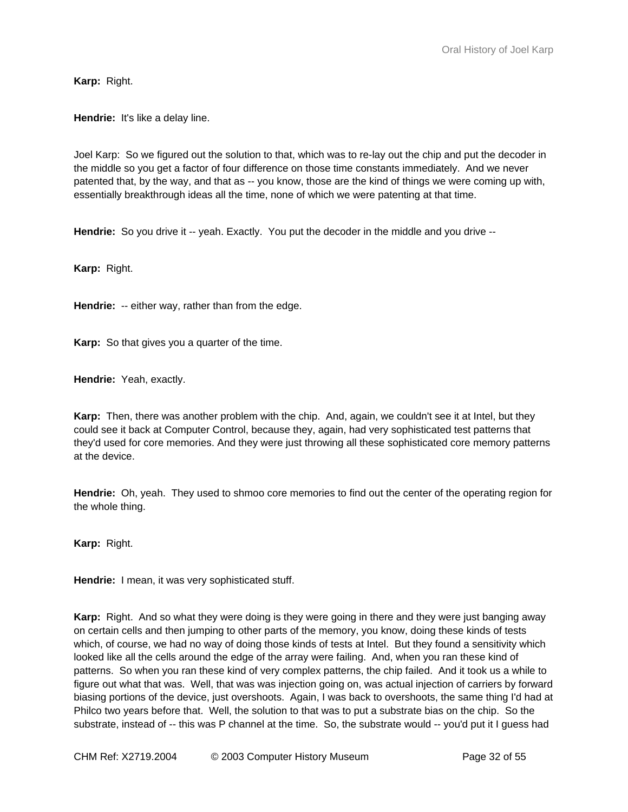**Karp:** Right.

**Hendrie:** It's like a delay line.

Joel Karp: So we figured out the solution to that, which was to re-lay out the chip and put the decoder in the middle so you get a factor of four difference on those time constants immediately. And we never patented that, by the way, and that as -- you know, those are the kind of things we were coming up with, essentially breakthrough ideas all the time, none of which we were patenting at that time.

**Hendrie:** So you drive it -- yeah. Exactly. You put the decoder in the middle and you drive --

**Karp:** Right.

**Hendrie:** -- either way, rather than from the edge.

**Karp:** So that gives you a quarter of the time.

**Hendrie:** Yeah, exactly.

**Karp:** Then, there was another problem with the chip. And, again, we couldn't see it at Intel, but they could see it back at Computer Control, because they, again, had very sophisticated test patterns that they'd used for core memories. And they were just throwing all these sophisticated core memory patterns at the device.

**Hendrie:** Oh, yeah. They used to shmoo core memories to find out the center of the operating region for the whole thing.

**Karp:** Right.

**Hendrie:** I mean, it was very sophisticated stuff.

**Karp:** Right. And so what they were doing is they were going in there and they were just banging away on certain cells and then jumping to other parts of the memory, you know, doing these kinds of tests which, of course, we had no way of doing those kinds of tests at Intel. But they found a sensitivity which looked like all the cells around the edge of the array were failing. And, when you ran these kind of patterns. So when you ran these kind of very complex patterns, the chip failed. And it took us a while to figure out what that was. Well, that was was injection going on, was actual injection of carriers by forward biasing portions of the device, just overshoots. Again, I was back to overshoots, the same thing I'd had at Philco two years before that. Well, the solution to that was to put a substrate bias on the chip. So the substrate, instead of -- this was P channel at the time. So, the substrate would -- you'd put it I guess had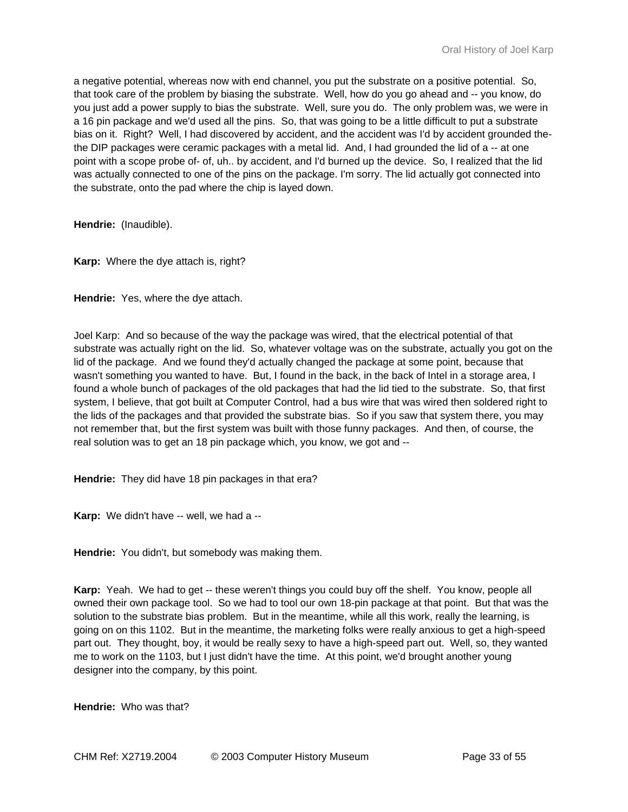a negative potential, whereas now with end channel, you put the substrate on a positive potential. So, that took care of the problem by biasing the substrate. Well, how do you go ahead and -- you know, do you just add a power supply to bias the substrate. Well, sure you do. The only problem was, we were in a 16 pin package and we'd used all the pins. So, that was going to be a little difficult to put a substrate bias on it. Right? Well, I had discovered by accident, and the accident was I'd by accident grounded thethe DIP packages were ceramic packages with a metal lid. And, I had grounded the lid of a -- at one point with a scope probe of- of, uh.. by accident, and I'd burned up the device. So, I realized that the lid was actually connected to one of the pins on the package. I'm sorry. The lid actually got connected into the substrate, onto the pad where the chip is layed down.

**Hendrie:** (Inaudible).

**Karp:** Where the dye attach is, right?

**Hendrie:** Yes, where the dye attach.

Joel Karp: And so because of the way the package was wired, that the electrical potential of that substrate was actually right on the lid. So, whatever voltage was on the substrate, actually you got on the lid of the package. And we found they'd actually changed the package at some point, because that wasn't something you wanted to have. But, I found in the back, in the back of Intel in a storage area, I found a whole bunch of packages of the old packages that had the lid tied to the substrate. So, that first system, I believe, that got built at Computer Control, had a bus wire that was wired then soldered right to the lids of the packages and that provided the substrate bias. So if you saw that system there, you may not remember that, but the first system was built with those funny packages. And then, of course, the real solution was to get an 18 pin package which, you know, we got and --

**Hendrie:** They did have 18 pin packages in that era?

**Karp:** We didn't have -- well, we had a --

**Hendrie:** You didn't, but somebody was making them.

**Karp:** Yeah. We had to get -- these weren't things you could buy off the shelf. You know, people all owned their own package tool. So we had to tool our own 18-pin package at that point. But that was the solution to the substrate bias problem. But in the meantime, while all this work, really the learning, is going on on this 1102. But in the meantime, the marketing folks were really anxious to get a high-speed part out. They thought, boy, it would be really sexy to have a high-speed part out. Well, so, they wanted me to work on the 1103, but I just didn't have the time. At this point, we'd brought another young designer into the company, by this point.

**Hendrie:** Who was that?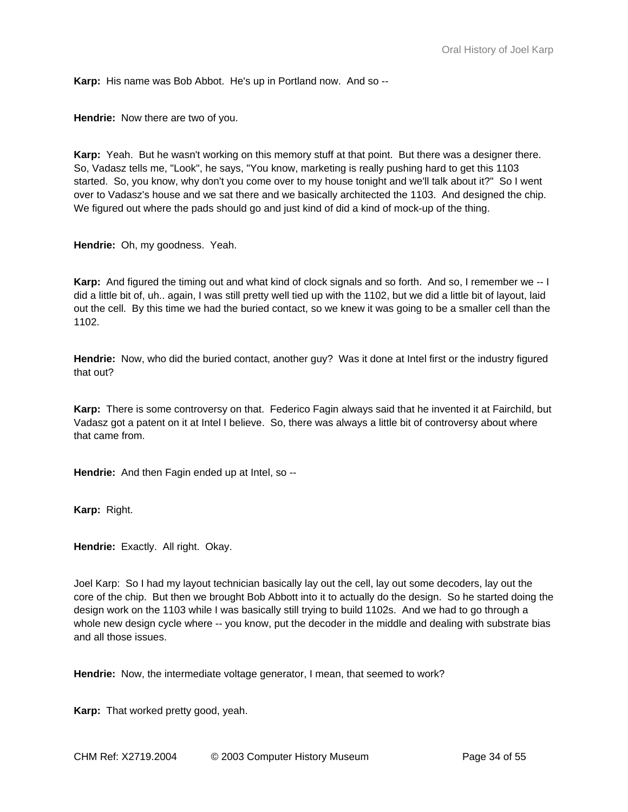**Karp:** His name was Bob Abbot. He's up in Portland now. And so --

**Hendrie:** Now there are two of you.

**Karp:** Yeah. But he wasn't working on this memory stuff at that point. But there was a designer there. So, Vadasz tells me, "Look", he says, "You know, marketing is really pushing hard to get this 1103 started. So, you know, why don't you come over to my house tonight and we'll talk about it?" So I went over to Vadasz's house and we sat there and we basically architected the 1103. And designed the chip. We figured out where the pads should go and just kind of did a kind of mock-up of the thing.

**Hendrie:** Oh, my goodness. Yeah.

**Karp:** And figured the timing out and what kind of clock signals and so forth. And so, I remember we -- I did a little bit of, uh.. again, I was still pretty well tied up with the 1102, but we did a little bit of layout, laid out the cell. By this time we had the buried contact, so we knew it was going to be a smaller cell than the 1102.

**Hendrie:** Now, who did the buried contact, another guy? Was it done at Intel first or the industry figured that out?

**Karp:** There is some controversy on that. Federico Fagin always said that he invented it at Fairchild, but Vadasz got a patent on it at Intel I believe. So, there was always a little bit of controversy about where that came from.

**Hendrie:** And then Fagin ended up at Intel, so --

**Karp:** Right.

**Hendrie:** Exactly. All right. Okay.

Joel Karp: So I had my layout technician basically lay out the cell, lay out some decoders, lay out the core of the chip. But then we brought Bob Abbott into it to actually do the design. So he started doing the design work on the 1103 while I was basically still trying to build 1102s. And we had to go through a whole new design cycle where -- you know, put the decoder in the middle and dealing with substrate bias and all those issues.

**Hendrie:** Now, the intermediate voltage generator, I mean, that seemed to work?

**Karp:** That worked pretty good, yeah.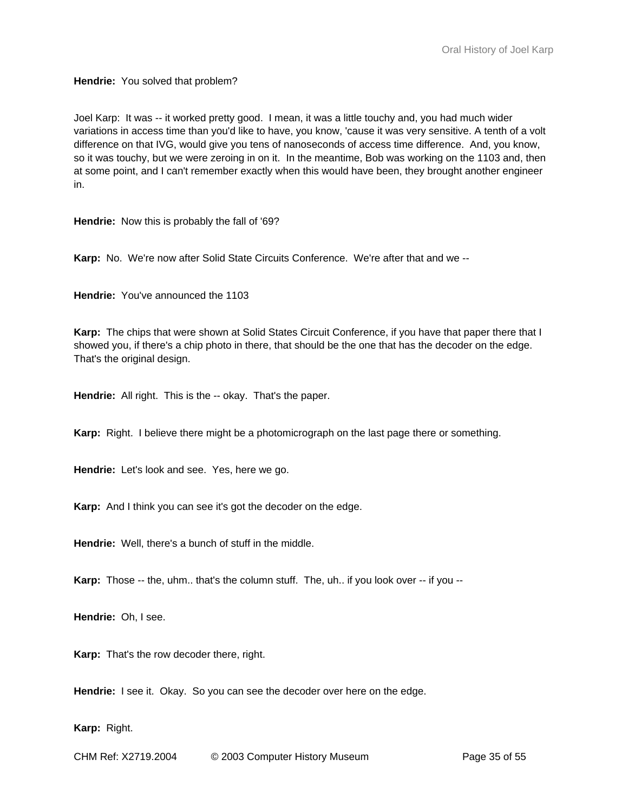**Hendrie:** You solved that problem?

Joel Karp: It was -- it worked pretty good. I mean, it was a little touchy and, you had much wider variations in access time than you'd like to have, you know, 'cause it was very sensitive. A tenth of a volt difference on that IVG, would give you tens of nanoseconds of access time difference. And, you know, so it was touchy, but we were zeroing in on it. In the meantime, Bob was working on the 1103 and, then at some point, and I can't remember exactly when this would have been, they brought another engineer in.

**Hendrie:** Now this is probably the fall of '69?

**Karp:** No. We're now after Solid State Circuits Conference. We're after that and we --

**Hendrie:** You've announced the 1103

**Karp:** The chips that were shown at Solid States Circuit Conference, if you have that paper there that I showed you, if there's a chip photo in there, that should be the one that has the decoder on the edge. That's the original design.

**Hendrie:** All right. This is the -- okay. That's the paper.

**Karp:** Right. I believe there might be a photomicrograph on the last page there or something.

**Hendrie:** Let's look and see. Yes, here we go.

**Karp:** And I think you can see it's got the decoder on the edge.

**Hendrie:** Well, there's a bunch of stuff in the middle.

**Karp:** Those -- the, uhm.. that's the column stuff. The, uh.. if you look over -- if you --

**Hendrie:** Oh, I see.

**Karp:** That's the row decoder there, right.

**Hendrie:** I see it. Okay. So you can see the decoder over here on the edge.

**Karp:** Right.

CHM Ref: X2719.2004 © 2003 Computer History Museum Page 35 of 55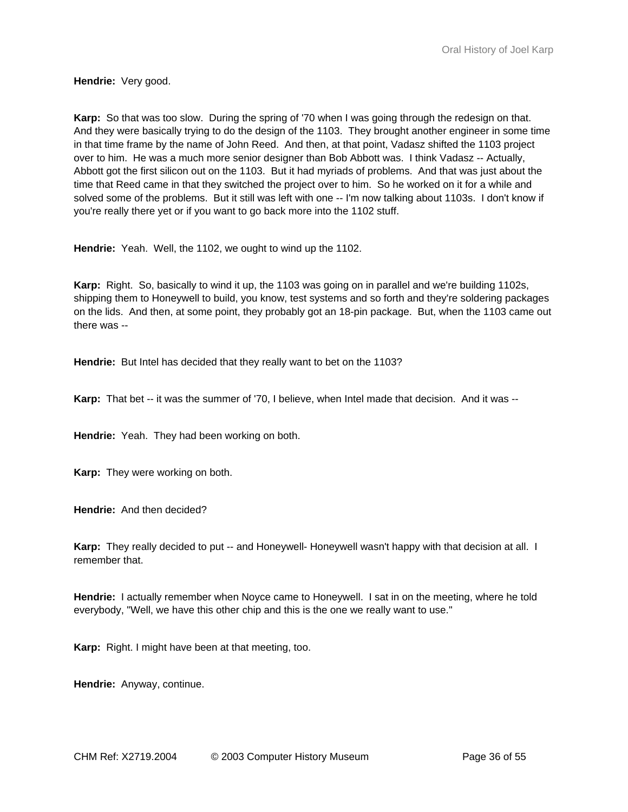**Hendrie:** Very good.

**Karp:** So that was too slow. During the spring of '70 when I was going through the redesign on that. And they were basically trying to do the design of the 1103. They brought another engineer in some time in that time frame by the name of John Reed. And then, at that point, Vadasz shifted the 1103 project over to him. He was a much more senior designer than Bob Abbott was. I think Vadasz -- Actually, Abbott got the first silicon out on the 1103. But it had myriads of problems. And that was just about the time that Reed came in that they switched the project over to him. So he worked on it for a while and solved some of the problems. But it still was left with one -- I'm now talking about 1103s. I don't know if you're really there yet or if you want to go back more into the 1102 stuff.

**Hendrie:** Yeah. Well, the 1102, we ought to wind up the 1102.

**Karp:** Right. So, basically to wind it up, the 1103 was going on in parallel and we're building 1102s, shipping them to Honeywell to build, you know, test systems and so forth and they're soldering packages on the lids. And then, at some point, they probably got an 18-pin package. But, when the 1103 came out there was --

**Hendrie:** But Intel has decided that they really want to bet on the 1103?

**Karp:** That bet -- it was the summer of '70, I believe, when Intel made that decision. And it was --

**Hendrie:** Yeah. They had been working on both.

**Karp:** They were working on both.

**Hendrie:** And then decided?

**Karp:** They really decided to put -- and Honeywell- Honeywell wasn't happy with that decision at all. I remember that.

**Hendrie:** I actually remember when Noyce came to Honeywell. I sat in on the meeting, where he told everybody, "Well, we have this other chip and this is the one we really want to use."

**Karp:** Right. I might have been at that meeting, too.

**Hendrie:** Anyway, continue.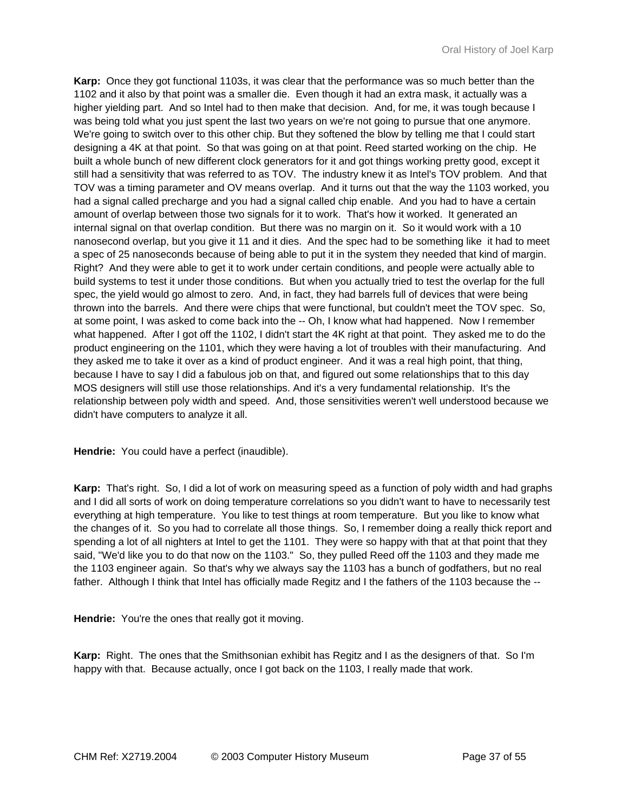**Karp:** Once they got functional 1103s, it was clear that the performance was so much better than the 1102 and it also by that point was a smaller die. Even though it had an extra mask, it actually was a higher yielding part. And so Intel had to then make that decision. And, for me, it was tough because I was being told what you just spent the last two years on we're not going to pursue that one anymore. We're going to switch over to this other chip. But they softened the blow by telling me that I could start designing a 4K at that point. So that was going on at that point. Reed started working on the chip. He built a whole bunch of new different clock generators for it and got things working pretty good, except it still had a sensitivity that was referred to as TOV. The industry knew it as Intel's TOV problem. And that TOV was a timing parameter and OV means overlap. And it turns out that the way the 1103 worked, you had a signal called precharge and you had a signal called chip enable. And you had to have a certain amount of overlap between those two signals for it to work. That's how it worked. It generated an internal signal on that overlap condition. But there was no margin on it. So it would work with a 10 nanosecond overlap, but you give it 11 and it dies. And the spec had to be something like it had to meet a spec of 25 nanoseconds because of being able to put it in the system they needed that kind of margin. Right? And they were able to get it to work under certain conditions, and people were actually able to build systems to test it under those conditions. But when you actually tried to test the overlap for the full spec, the yield would go almost to zero. And, in fact, they had barrels full of devices that were being thrown into the barrels. And there were chips that were functional, but couldn't meet the TOV spec. So, at some point, I was asked to come back into the -- Oh, I know what had happened. Now I remember what happened. After I got off the 1102, I didn't start the 4K right at that point. They asked me to do the product engineering on the 1101, which they were having a lot of troubles with their manufacturing. And they asked me to take it over as a kind of product engineer. And it was a real high point, that thing, because I have to say I did a fabulous job on that, and figured out some relationships that to this day MOS designers will still use those relationships. And it's a very fundamental relationship. It's the relationship between poly width and speed. And, those sensitivities weren't well understood because we didn't have computers to analyze it all.

**Hendrie:** You could have a perfect (inaudible).

**Karp:** That's right. So, I did a lot of work on measuring speed as a function of poly width and had graphs and I did all sorts of work on doing temperature correlations so you didn't want to have to necessarily test everything at high temperature. You like to test things at room temperature. But you like to know what the changes of it. So you had to correlate all those things. So, I remember doing a really thick report and spending a lot of all nighters at Intel to get the 1101. They were so happy with that at that point that they said, "We'd like you to do that now on the 1103." So, they pulled Reed off the 1103 and they made me the 1103 engineer again. So that's why we always say the 1103 has a bunch of godfathers, but no real father. Although I think that Intel has officially made Regitz and I the fathers of the 1103 because the --

**Hendrie:** You're the ones that really got it moving.

**Karp:** Right. The ones that the Smithsonian exhibit has Regitz and I as the designers of that. So I'm happy with that. Because actually, once I got back on the 1103, I really made that work.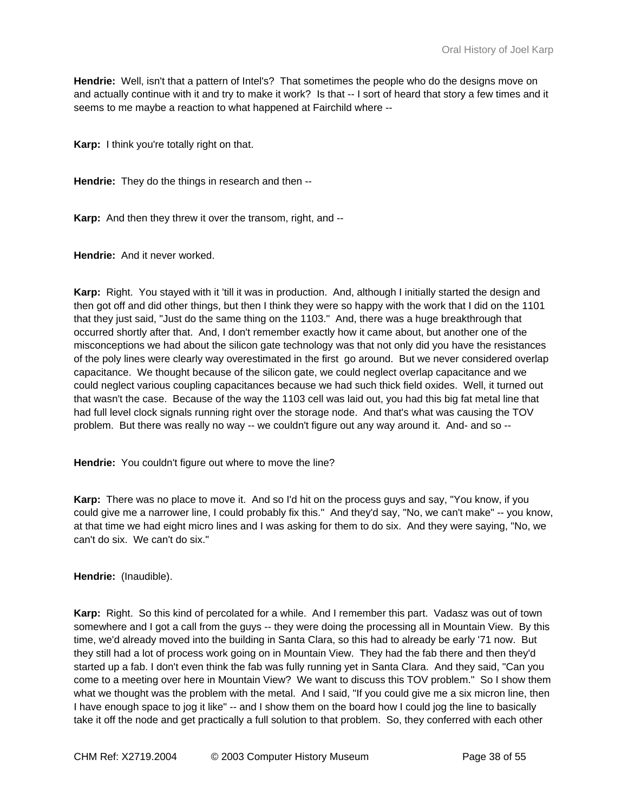**Hendrie:** Well, isn't that a pattern of Intel's? That sometimes the people who do the designs move on and actually continue with it and try to make it work? Is that -- I sort of heard that story a few times and it seems to me maybe a reaction to what happened at Fairchild where --

**Karp:** I think you're totally right on that.

**Hendrie:** They do the things in research and then --

**Karp:** And then they threw it over the transom, right, and --

**Hendrie:** And it never worked.

**Karp:** Right. You stayed with it 'till it was in production. And, although I initially started the design and then got off and did other things, but then I think they were so happy with the work that I did on the 1101 that they just said, "Just do the same thing on the 1103." And, there was a huge breakthrough that occurred shortly after that. And, I don't remember exactly how it came about, but another one of the misconceptions we had about the silicon gate technology was that not only did you have the resistances of the poly lines were clearly way overestimated in the first go around. But we never considered overlap capacitance. We thought because of the silicon gate, we could neglect overlap capacitance and we could neglect various coupling capacitances because we had such thick field oxides. Well, it turned out that wasn't the case. Because of the way the 1103 cell was laid out, you had this big fat metal line that had full level clock signals running right over the storage node. And that's what was causing the TOV problem. But there was really no way -- we couldn't figure out any way around it. And- and so --

**Hendrie:** You couldn't figure out where to move the line?

**Karp:** There was no place to move it. And so I'd hit on the process guys and say, "You know, if you could give me a narrower line, I could probably fix this." And they'd say, "No, we can't make" -- you know, at that time we had eight micro lines and I was asking for them to do six. And they were saying, "No, we can't do six. We can't do six."

**Hendrie:** (Inaudible).

**Karp:** Right. So this kind of percolated for a while. And I remember this part. Vadasz was out of town somewhere and I got a call from the guys -- they were doing the processing all in Mountain View. By this time, we'd already moved into the building in Santa Clara, so this had to already be early '71 now. But they still had a lot of process work going on in Mountain View. They had the fab there and then they'd started up a fab. I don't even think the fab was fully running yet in Santa Clara. And they said, "Can you come to a meeting over here in Mountain View? We want to discuss this TOV problem." So I show them what we thought was the problem with the metal. And I said, "If you could give me a six micron line, then I have enough space to jog it like" -- and I show them on the board how I could jog the line to basically take it off the node and get practically a full solution to that problem. So, they conferred with each other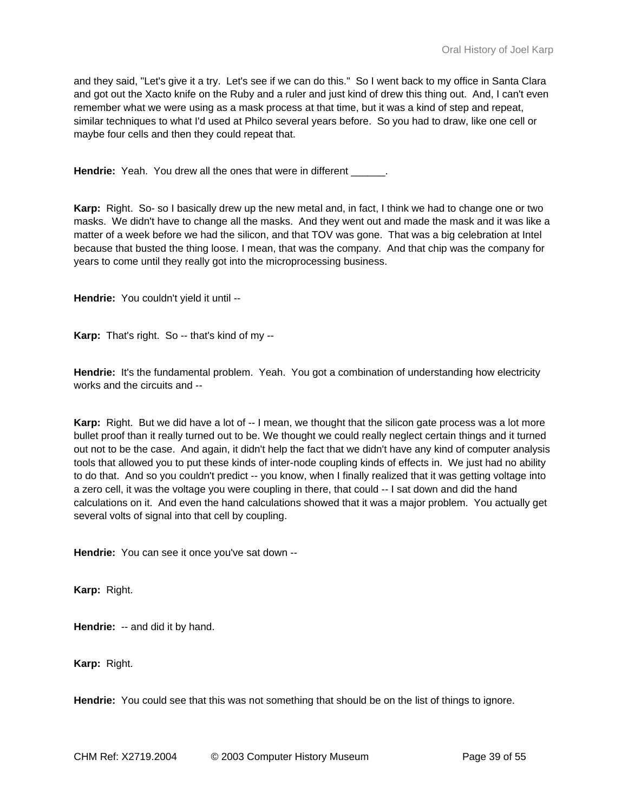and they said, "Let's give it a try. Let's see if we can do this." So I went back to my office in Santa Clara and got out the Xacto knife on the Ruby and a ruler and just kind of drew this thing out. And, I can't even remember what we were using as a mask process at that time, but it was a kind of step and repeat, similar techniques to what I'd used at Philco several years before. So you had to draw, like one cell or maybe four cells and then they could repeat that.

**Hendrie:** Yeah. You drew all the ones that were in different

**Karp:** Right. So- so I basically drew up the new metal and, in fact, I think we had to change one or two masks. We didn't have to change all the masks. And they went out and made the mask and it was like a matter of a week before we had the silicon, and that TOV was gone. That was a big celebration at Intel because that busted the thing loose. I mean, that was the company. And that chip was the company for years to come until they really got into the microprocessing business.

**Hendrie:** You couldn't yield it until --

**Karp:** That's right. So -- that's kind of my --

**Hendrie:** It's the fundamental problem. Yeah. You got a combination of understanding how electricity works and the circuits and --

Karp: Right. But we did have a lot of -- I mean, we thought that the silicon gate process was a lot more bullet proof than it really turned out to be. We thought we could really neglect certain things and it turned out not to be the case. And again, it didn't help the fact that we didn't have any kind of computer analysis tools that allowed you to put these kinds of inter-node coupling kinds of effects in. We just had no ability to do that. And so you couldn't predict -- you know, when I finally realized that it was getting voltage into a zero cell, it was the voltage you were coupling in there, that could -- I sat down and did the hand calculations on it. And even the hand calculations showed that it was a major problem. You actually get several volts of signal into that cell by coupling.

**Hendrie:** You can see it once you've sat down --

**Karp:** Right.

**Hendrie:** -- and did it by hand.

**Karp:** Right.

**Hendrie:** You could see that this was not something that should be on the list of things to ignore.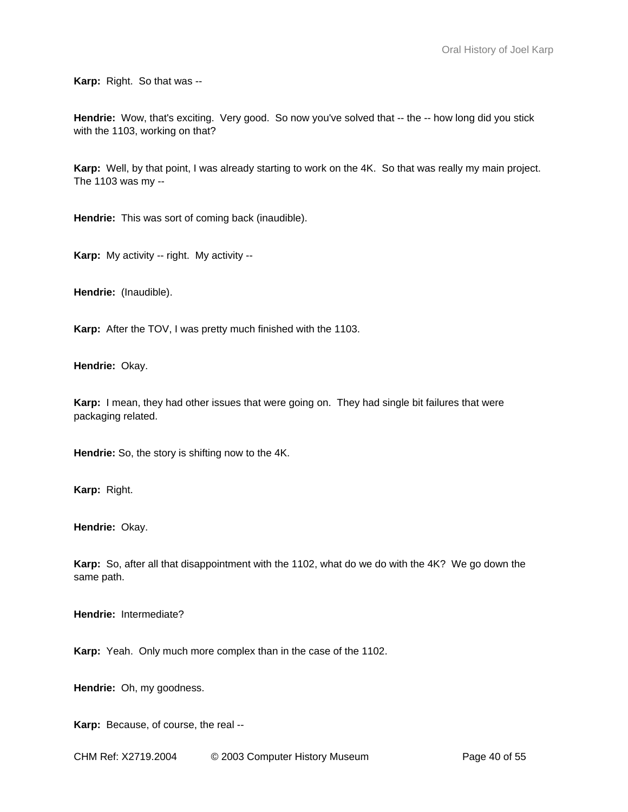**Karp:** Right. So that was --

Hendrie: Wow, that's exciting. Very good. So now you've solved that -- the -- how long did you stick with the 1103, working on that?

**Karp:** Well, by that point, I was already starting to work on the 4K. So that was really my main project. The 1103 was my --

**Hendrie:** This was sort of coming back (inaudible).

**Karp:** My activity -- right. My activity --

**Hendrie:** (Inaudible).

**Karp:** After the TOV, I was pretty much finished with the 1103.

**Hendrie:** Okay.

**Karp:** I mean, they had other issues that were going on. They had single bit failures that were packaging related.

**Hendrie:** So, the story is shifting now to the 4K.

**Karp:** Right.

**Hendrie:** Okay.

**Karp:** So, after all that disappointment with the 1102, what do we do with the 4K? We go down the same path.

**Hendrie:** Intermediate?

**Karp:** Yeah. Only much more complex than in the case of the 1102.

**Hendrie:** Oh, my goodness.

**Karp:** Because, of course, the real --

CHM Ref: X2719.2004 © 2003 Computer History Museum Page 40 of 55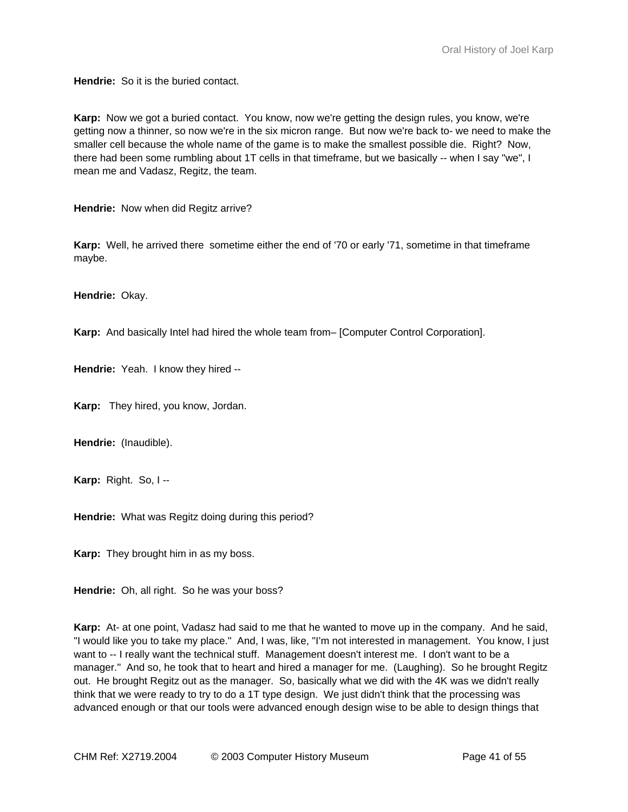**Hendrie:** So it is the buried contact.

**Karp:** Now we got a buried contact. You know, now we're getting the design rules, you know, we're getting now a thinner, so now we're in the six micron range. But now we're back to- we need to make the smaller cell because the whole name of the game is to make the smallest possible die. Right? Now, there had been some rumbling about 1T cells in that timeframe, but we basically -- when I say "we", I mean me and Vadasz, Regitz, the team.

**Hendrie:** Now when did Regitz arrive?

**Karp:** Well, he arrived there sometime either the end of '70 or early '71, sometime in that timeframe maybe.

**Hendrie:** Okay.

**Karp:** And basically Intel had hired the whole team from– [Computer Control Corporation].

**Hendrie:** Yeah. I know they hired --

**Karp:** They hired, you know, Jordan.

**Hendrie:** (Inaudible).

**Karp:** Right. So, I --

**Hendrie:** What was Regitz doing during this period?

**Karp:** They brought him in as my boss.

**Hendrie:** Oh, all right. So he was your boss?

**Karp:** At- at one point, Vadasz had said to me that he wanted to move up in the company. And he said, "I would like you to take my place." And, I was, like, "I'm not interested in management. You know, I just want to -- I really want the technical stuff. Management doesn't interest me. I don't want to be a manager." And so, he took that to heart and hired a manager for me. (Laughing). So he brought Regitz out. He brought Regitz out as the manager. So, basically what we did with the 4K was we didn't really think that we were ready to try to do a 1T type design. We just didn't think that the processing was advanced enough or that our tools were advanced enough design wise to be able to design things that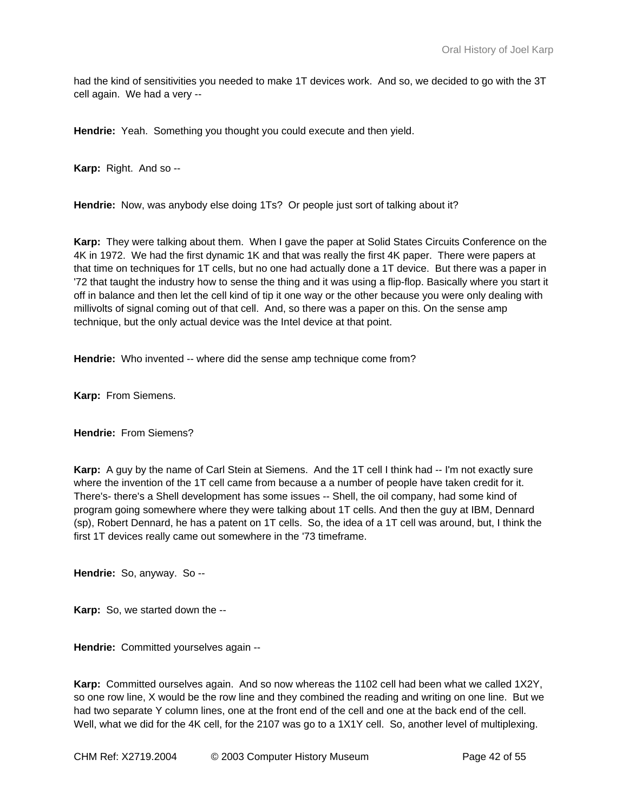had the kind of sensitivities you needed to make 1T devices work. And so, we decided to go with the 3T cell again. We had a very --

**Hendrie:** Yeah. Something you thought you could execute and then yield.

**Karp:** Right. And so --

**Hendrie:** Now, was anybody else doing 1Ts? Or people just sort of talking about it?

**Karp:** They were talking about them. When I gave the paper at Solid States Circuits Conference on the 4K in 1972. We had the first dynamic 1K and that was really the first 4K paper. There were papers at that time on techniques for 1T cells, but no one had actually done a 1T device. But there was a paper in '72 that taught the industry how to sense the thing and it was using a flip-flop. Basically where you start it off in balance and then let the cell kind of tip it one way or the other because you were only dealing with millivolts of signal coming out of that cell. And, so there was a paper on this. On the sense amp technique, but the only actual device was the Intel device at that point.

**Hendrie:** Who invented -- where did the sense amp technique come from?

**Karp:** From Siemens.

**Hendrie:** From Siemens?

**Karp:** A guy by the name of Carl Stein at Siemens. And the 1T cell I think had -- I'm not exactly sure where the invention of the 1T cell came from because a a number of people have taken credit for it. There's- there's a Shell development has some issues -- Shell, the oil company, had some kind of program going somewhere where they were talking about 1T cells. And then the guy at IBM, Dennard (sp), Robert Dennard, he has a patent on 1T cells. So, the idea of a 1T cell was around, but, I think the first 1T devices really came out somewhere in the '73 timeframe.

**Hendrie:** So, anyway. So --

**Karp:** So, we started down the --

**Hendrie:** Committed yourselves again --

**Karp:** Committed ourselves again. And so now whereas the 1102 cell had been what we called 1X2Y, so one row line, X would be the row line and they combined the reading and writing on one line. But we had two separate Y column lines, one at the front end of the cell and one at the back end of the cell. Well, what we did for the 4K cell, for the 2107 was go to a 1X1Y cell. So, another level of multiplexing.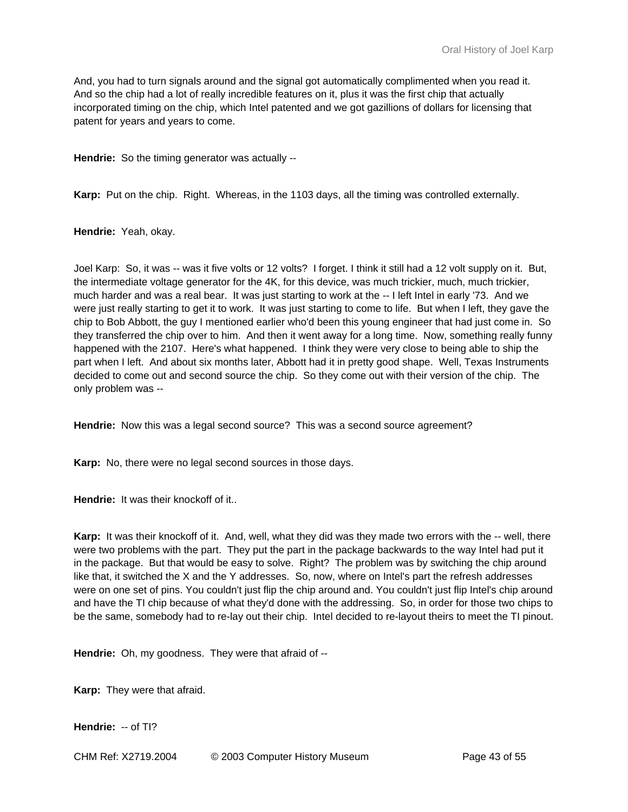And, you had to turn signals around and the signal got automatically complimented when you read it. And so the chip had a lot of really incredible features on it, plus it was the first chip that actually incorporated timing on the chip, which Intel patented and we got gazillions of dollars for licensing that patent for years and years to come.

**Hendrie:** So the timing generator was actually --

**Karp:** Put on the chip. Right. Whereas, in the 1103 days, all the timing was controlled externally.

**Hendrie:** Yeah, okay.

Joel Karp: So, it was -- was it five volts or 12 volts? I forget. I think it still had a 12 volt supply on it. But, the intermediate voltage generator for the 4K, for this device, was much trickier, much, much trickier, much harder and was a real bear. It was just starting to work at the -- I left Intel in early '73. And we were just really starting to get it to work. It was just starting to come to life. But when I left, they gave the chip to Bob Abbott, the guy I mentioned earlier who'd been this young engineer that had just come in. So they transferred the chip over to him. And then it went away for a long time. Now, something really funny happened with the 2107. Here's what happened. I think they were very close to being able to ship the part when I left. And about six months later, Abbott had it in pretty good shape. Well, Texas Instruments decided to come out and second source the chip. So they come out with their version of the chip. The only problem was --

**Hendrie:** Now this was a legal second source? This was a second source agreement?

**Karp:** No, there were no legal second sources in those days.

**Hendrie:** It was their knockoff of it..

**Karp:** It was their knockoff of it. And, well, what they did was they made two errors with the -- well, there were two problems with the part. They put the part in the package backwards to the way Intel had put it in the package. But that would be easy to solve. Right? The problem was by switching the chip around like that, it switched the X and the Y addresses. So, now, where on Intel's part the refresh addresses were on one set of pins. You couldn't just flip the chip around and. You couldn't just flip Intel's chip around and have the TI chip because of what they'd done with the addressing. So, in order for those two chips to be the same, somebody had to re-lay out their chip. Intel decided to re-layout theirs to meet the TI pinout.

**Hendrie:** Oh, my goodness. They were that afraid of --

**Karp:** They were that afraid.

**Hendrie:** -- of TI?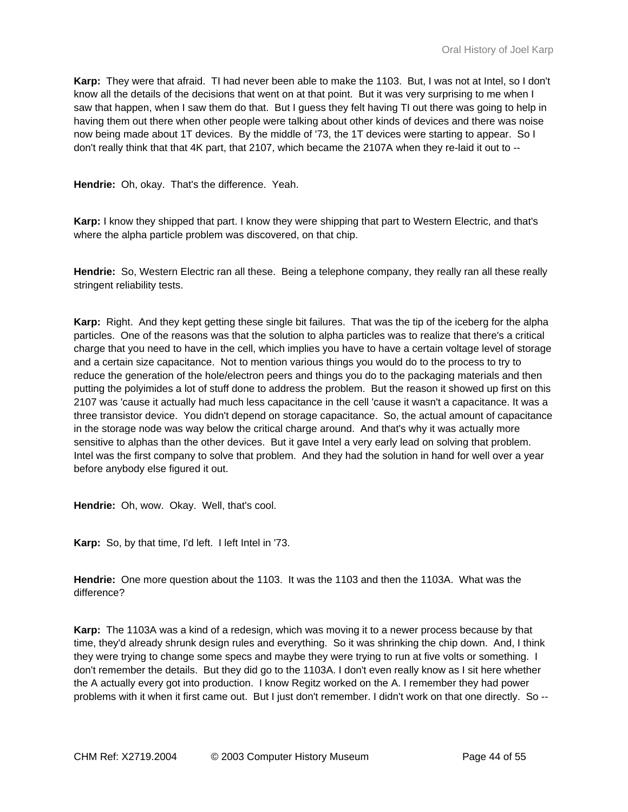**Karp:** They were that afraid. TI had never been able to make the 1103. But, I was not at Intel, so I don't know all the details of the decisions that went on at that point. But it was very surprising to me when I saw that happen, when I saw them do that. But I guess they felt having TI out there was going to help in having them out there when other people were talking about other kinds of devices and there was noise now being made about 1T devices. By the middle of '73, the 1T devices were starting to appear. So I don't really think that that 4K part, that 2107, which became the 2107A when they re-laid it out to --

**Hendrie:** Oh, okay. That's the difference. Yeah.

**Karp:** I know they shipped that part. I know they were shipping that part to Western Electric, and that's where the alpha particle problem was discovered, on that chip.

**Hendrie:** So, Western Electric ran all these. Being a telephone company, they really ran all these really stringent reliability tests.

**Karp:** Right. And they kept getting these single bit failures. That was the tip of the iceberg for the alpha particles. One of the reasons was that the solution to alpha particles was to realize that there's a critical charge that you need to have in the cell, which implies you have to have a certain voltage level of storage and a certain size capacitance. Not to mention various things you would do to the process to try to reduce the generation of the hole/electron peers and things you do to the packaging materials and then putting the polyimides a lot of stuff done to address the problem. But the reason it showed up first on this 2107 was 'cause it actually had much less capacitance in the cell 'cause it wasn't a capacitance. It was a three transistor device. You didn't depend on storage capacitance. So, the actual amount of capacitance in the storage node was way below the critical charge around. And that's why it was actually more sensitive to alphas than the other devices. But it gave Intel a very early lead on solving that problem. Intel was the first company to solve that problem. And they had the solution in hand for well over a year before anybody else figured it out.

**Hendrie:** Oh, wow. Okay. Well, that's cool.

**Karp:** So, by that time, I'd left. I left Intel in '73.

**Hendrie:** One more question about the 1103. It was the 1103 and then the 1103A. What was the difference?

**Karp:** The 1103A was a kind of a redesign, which was moving it to a newer process because by that time, they'd already shrunk design rules and everything. So it was shrinking the chip down. And, I think they were trying to change some specs and maybe they were trying to run at five volts or something. I don't remember the details. But they did go to the 1103A. I don't even really know as I sit here whether the A actually every got into production. I know Regitz worked on the A. I remember they had power problems with it when it first came out. But I just don't remember. I didn't work on that one directly. So --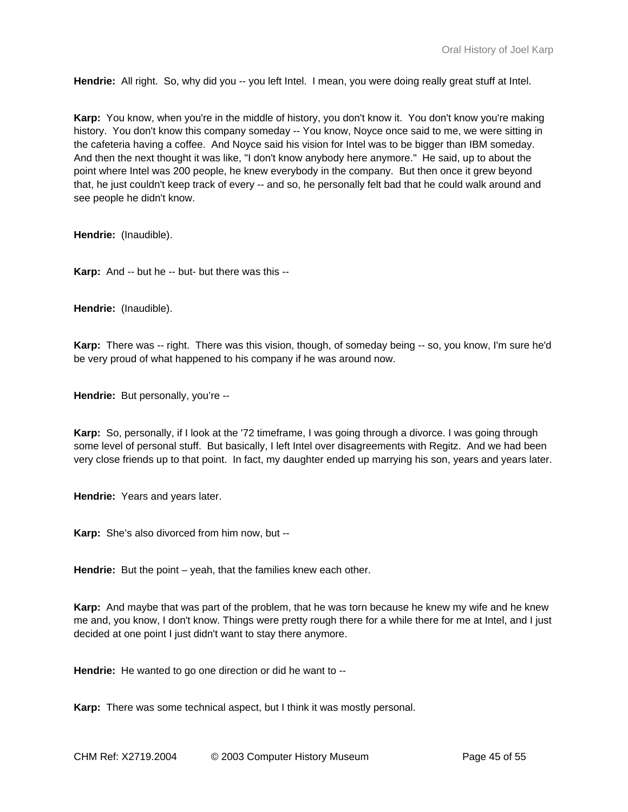**Hendrie:** All right. So, why did you -- you left Intel. I mean, you were doing really great stuff at Intel.

**Karp:** You know, when you're in the middle of history, you don't know it. You don't know you're making history. You don't know this company someday -- You know, Noyce once said to me, we were sitting in the cafeteria having a coffee. And Noyce said his vision for Intel was to be bigger than IBM someday. And then the next thought it was like, "I don't know anybody here anymore." He said, up to about the point where Intel was 200 people, he knew everybody in the company. But then once it grew beyond that, he just couldn't keep track of every -- and so, he personally felt bad that he could walk around and see people he didn't know.

**Hendrie:** (Inaudible).

**Karp:** And -- but he -- but- but there was this --

**Hendrie:** (Inaudible).

**Karp:** There was -- right. There was this vision, though, of someday being -- so, you know, I'm sure he'd be very proud of what happened to his company if he was around now.

**Hendrie:** But personally, you're --

**Karp:** So, personally, if I look at the '72 timeframe, I was going through a divorce. I was going through some level of personal stuff. But basically, I left Intel over disagreements with Regitz. And we had been very close friends up to that point. In fact, my daughter ended up marrying his son, years and years later.

**Hendrie:** Years and years later.

**Karp:** She's also divorced from him now, but --

**Hendrie:** But the point – yeah, that the families knew each other.

**Karp:** And maybe that was part of the problem, that he was torn because he knew my wife and he knew me and, you know, I don't know. Things were pretty rough there for a while there for me at Intel, and I just decided at one point I just didn't want to stay there anymore.

**Hendrie:** He wanted to go one direction or did he want to --

**Karp:** There was some technical aspect, but I think it was mostly personal.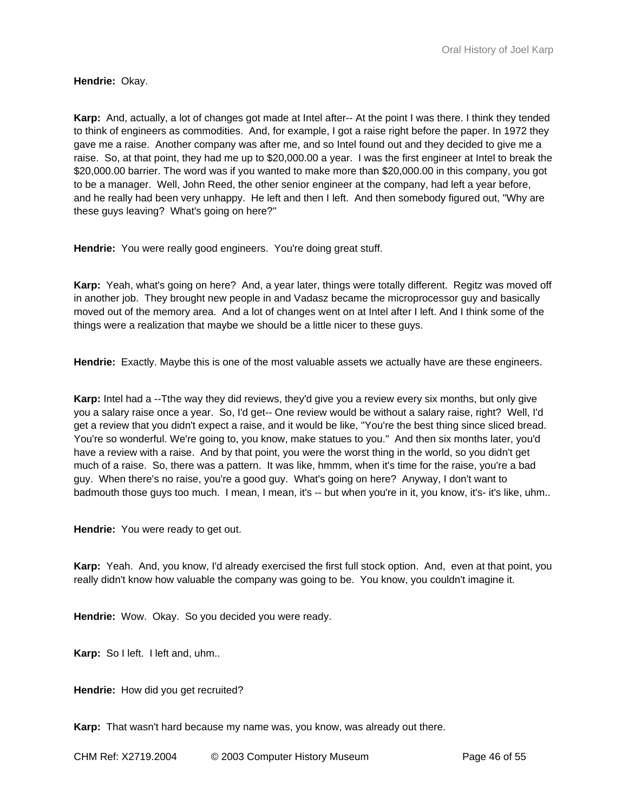**Hendrie:** Okay.

**Karp:** And, actually, a lot of changes got made at Intel after-- At the point I was there. I think they tended to think of engineers as commodities. And, for example, I got a raise right before the paper. In 1972 they gave me a raise. Another company was after me, and so Intel found out and they decided to give me a raise. So, at that point, they had me up to \$20,000.00 a year. I was the first engineer at Intel to break the \$20,000.00 barrier. The word was if you wanted to make more than \$20,000.00 in this company, you got to be a manager. Well, John Reed, the other senior engineer at the company, had left a year before, and he really had been very unhappy. He left and then I left. And then somebody figured out, "Why are these guys leaving? What's going on here?"

**Hendrie:** You were really good engineers. You're doing great stuff.

**Karp:** Yeah, what's going on here? And, a year later, things were totally different. Regitz was moved off in another job. They brought new people in and Vadasz became the microprocessor guy and basically moved out of the memory area. And a lot of changes went on at Intel after I left. And I think some of the things were a realization that maybe we should be a little nicer to these guys.

**Hendrie:** Exactly. Maybe this is one of the most valuable assets we actually have are these engineers.

**Karp:** Intel had a --Tthe way they did reviews, they'd give you a review every six months, but only give you a salary raise once a year. So, I'd get-- One review would be without a salary raise, right? Well, I'd get a review that you didn't expect a raise, and it would be like, "You're the best thing since sliced bread. You're so wonderful. We're going to, you know, make statues to you." And then six months later, you'd have a review with a raise. And by that point, you were the worst thing in the world, so you didn't get much of a raise. So, there was a pattern. It was like, hmmm, when it's time for the raise, you're a bad guy. When there's no raise, you're a good guy. What's going on here? Anyway, I don't want to badmouth those guys too much. I mean, I mean, it's -- but when you're in it, you know, it's- it's like, uhm..

**Hendrie:** You were ready to get out.

**Karp:** Yeah. And, you know, I'd already exercised the first full stock option. And, even at that point, you really didn't know how valuable the company was going to be. You know, you couldn't imagine it.

**Hendrie:** Wow. Okay. So you decided you were ready.

**Karp:** So I left. I left and, uhm..

**Hendrie:** How did you get recruited?

**Karp:** That wasn't hard because my name was, you know, was already out there.

CHM Ref: X2719.2004 © 2003 Computer History Museum Page 46 of 55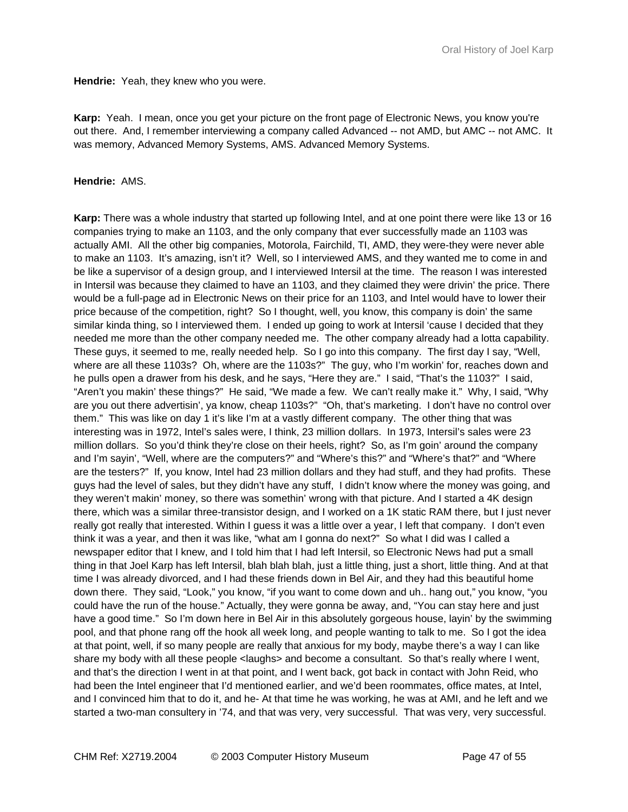**Hendrie:** Yeah, they knew who you were.

**Karp:** Yeah. I mean, once you get your picture on the front page of Electronic News, you know you're out there. And, I remember interviewing a company called Advanced -- not AMD, but AMC -- not AMC. It was memory, Advanced Memory Systems, AMS. Advanced Memory Systems.

#### **Hendrie:** AMS.

**Karp:** There was a whole industry that started up following Intel, and at one point there were like 13 or 16 companies trying to make an 1103, and the only company that ever successfully made an 1103 was actually AMI. All the other big companies, Motorola, Fairchild, TI, AMD, they were-they were never able to make an 1103. It's amazing, isn't it? Well, so I interviewed AMS, and they wanted me to come in and be like a supervisor of a design group, and I interviewed Intersil at the time. The reason I was interested in Intersil was because they claimed to have an 1103, and they claimed they were drivin' the price. There would be a full-page ad in Electronic News on their price for an 1103, and Intel would have to lower their price because of the competition, right? So I thought, well, you know, this company is doin' the same similar kinda thing, so I interviewed them. I ended up going to work at Intersil 'cause I decided that they needed me more than the other company needed me. The other company already had a lotta capability. These guys, it seemed to me, really needed help. So I go into this company. The first day I say, "Well, where are all these 1103s? Oh, where are the 1103s?" The guy, who I'm workin' for, reaches down and he pulls open a drawer from his desk, and he says, "Here they are." I said, "That's the 1103?" I said, "Aren't you makin' these things?" He said, "We made a few. We can't really make it." Why, I said, "Why are you out there advertisin', ya know, cheap 1103s?" "Oh, that's marketing. I don't have no control over them." This was like on day 1 it's like I'm at a vastly different company. The other thing that was interesting was in 1972, Intel's sales were, I think, 23 million dollars. In 1973, Intersil's sales were 23 million dollars. So you'd think they're close on their heels, right? So, as I'm goin' around the company and I'm sayin', "Well, where are the computers?" and "Where's this?" and "Where's that?" and "Where are the testers?" If, you know, Intel had 23 million dollars and they had stuff, and they had profits. These guys had the level of sales, but they didn't have any stuff, I didn't know where the money was going, and they weren't makin' money, so there was somethin' wrong with that picture. And I started a 4K design there, which was a similar three-transistor design, and I worked on a 1K static RAM there, but I just never really got really that interested. Within I guess it was a little over a year, I left that company. I don't even think it was a year, and then it was like, "what am I gonna do next?" So what I did was I called a newspaper editor that I knew, and I told him that I had left Intersil, so Electronic News had put a small thing in that Joel Karp has left Intersil, blah blah blah, just a little thing, just a short, little thing. And at that time I was already divorced, and I had these friends down in Bel Air, and they had this beautiful home down there. They said, "Look," you know, "if you want to come down and uh.. hang out," you know, "you could have the run of the house." Actually, they were gonna be away, and, "You can stay here and just have a good time." So I'm down here in Bel Air in this absolutely gorgeous house, layin' by the swimming pool, and that phone rang off the hook all week long, and people wanting to talk to me. So I got the idea at that point, well, if so many people are really that anxious for my body, maybe there's a way I can like share my body with all these people <laughs> and become a consultant. So that's really where I went, and that's the direction I went in at that point, and I went back, got back in contact with John Reid, who had been the Intel engineer that I'd mentioned earlier, and we'd been roommates, office mates, at Intel, and I convinced him that to do it, and he- At that time he was working, he was at AMI, and he left and we started a two-man consultery in '74, and that was very, very successful. That was very, very successful.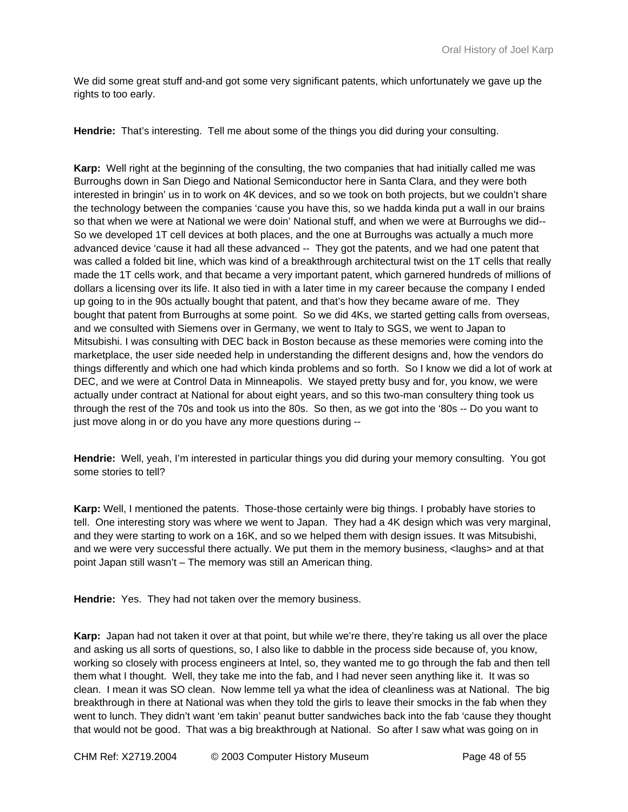We did some great stuff and-and got some very significant patents, which unfortunately we gave up the rights to too early.

**Hendrie:** That's interesting. Tell me about some of the things you did during your consulting.

**Karp:** Well right at the beginning of the consulting, the two companies that had initially called me was Burroughs down in San Diego and National Semiconductor here in Santa Clara, and they were both interested in bringin' us in to work on 4K devices, and so we took on both projects, but we couldn't share the technology between the companies 'cause you have this, so we hadda kinda put a wall in our brains so that when we were at National we were doin' National stuff, and when we were at Burroughs we did-- So we developed 1T cell devices at both places, and the one at Burroughs was actually a much more advanced device 'cause it had all these advanced -- They got the patents, and we had one patent that was called a folded bit line, which was kind of a breakthrough architectural twist on the 1T cells that really made the 1T cells work, and that became a very important patent, which garnered hundreds of millions of dollars a licensing over its life. It also tied in with a later time in my career because the company I ended up going to in the 90s actually bought that patent, and that's how they became aware of me. They bought that patent from Burroughs at some point. So we did 4Ks, we started getting calls from overseas, and we consulted with Siemens over in Germany, we went to Italy to SGS, we went to Japan to Mitsubishi. I was consulting with DEC back in Boston because as these memories were coming into the marketplace, the user side needed help in understanding the different designs and, how the vendors do things differently and which one had which kinda problems and so forth. So I know we did a lot of work at DEC, and we were at Control Data in Minneapolis. We stayed pretty busy and for, you know, we were actually under contract at National for about eight years, and so this two-man consultery thing took us through the rest of the 70s and took us into the 80s. So then, as we got into the '80s -- Do you want to just move along in or do you have any more questions during --

**Hendrie:** Well, yeah, I'm interested in particular things you did during your memory consulting. You got some stories to tell?

**Karp:** Well, I mentioned the patents. Those-those certainly were big things. I probably have stories to tell. One interesting story was where we went to Japan. They had a 4K design which was very marginal, and they were starting to work on a 16K, and so we helped them with design issues. It was Mitsubishi, and we were very successful there actually. We put them in the memory business, <laughs> and at that point Japan still wasn't – The memory was still an American thing.

**Hendrie:** Yes. They had not taken over the memory business.

**Karp:** Japan had not taken it over at that point, but while we're there, they're taking us all over the place and asking us all sorts of questions, so, I also like to dabble in the process side because of, you know, working so closely with process engineers at Intel, so, they wanted me to go through the fab and then tell them what I thought. Well, they take me into the fab, and I had never seen anything like it. It was so clean. I mean it was SO clean. Now lemme tell ya what the idea of cleanliness was at National. The big breakthrough in there at National was when they told the girls to leave their smocks in the fab when they went to lunch. They didn't want 'em takin' peanut butter sandwiches back into the fab 'cause they thought that would not be good. That was a big breakthrough at National. So after I saw what was going on in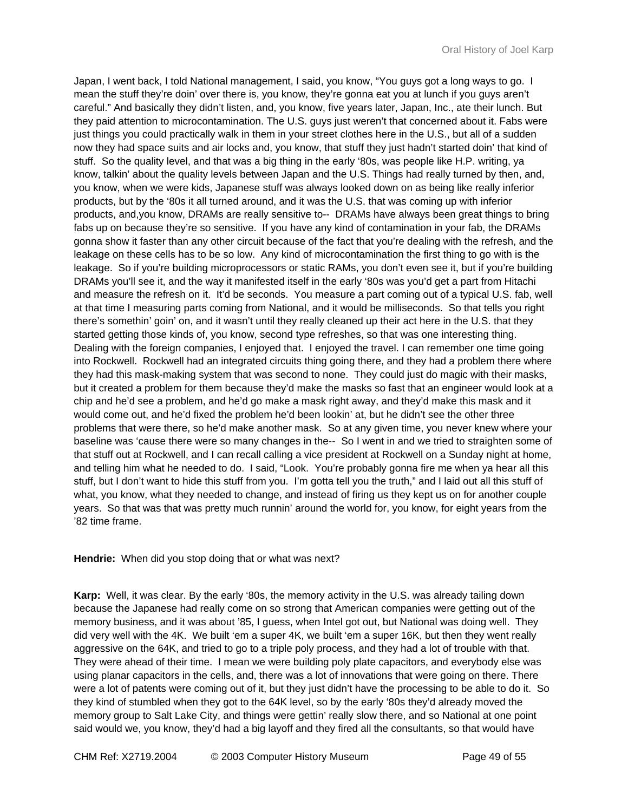Japan, I went back, I told National management, I said, you know, "You guys got a long ways to go. I mean the stuff they're doin' over there is, you know, they're gonna eat you at lunch if you guys aren't careful." And basically they didn't listen, and, you know, five years later, Japan, Inc., ate their lunch. But they paid attention to microcontamination. The U.S. guys just weren't that concerned about it. Fabs were just things you could practically walk in them in your street clothes here in the U.S., but all of a sudden now they had space suits and air locks and, you know, that stuff they just hadn't started doin' that kind of stuff. So the quality level, and that was a big thing in the early '80s, was people like H.P. writing, ya know, talkin' about the quality levels between Japan and the U.S. Things had really turned by then, and, you know, when we were kids, Japanese stuff was always looked down on as being like really inferior products, but by the '80s it all turned around, and it was the U.S. that was coming up with inferior products, and,you know, DRAMs are really sensitive to-- DRAMs have always been great things to bring fabs up on because they're so sensitive. If you have any kind of contamination in your fab, the DRAMs gonna show it faster than any other circuit because of the fact that you're dealing with the refresh, and the leakage on these cells has to be so low. Any kind of microcontamination the first thing to go with is the leakage. So if you're building microprocessors or static RAMs, you don't even see it, but if you're building DRAMs you'll see it, and the way it manifested itself in the early '80s was you'd get a part from Hitachi and measure the refresh on it. It'd be seconds. You measure a part coming out of a typical U.S. fab, well at that time I measuring parts coming from National, and it would be milliseconds. So that tells you right there's somethin' goin' on, and it wasn't until they really cleaned up their act here in the U.S. that they started getting those kinds of, you know, second type refreshes, so that was one interesting thing. Dealing with the foreign companies, I enjoyed that. I enjoyed the travel. I can remember one time going into Rockwell. Rockwell had an integrated circuits thing going there, and they had a problem there where they had this mask-making system that was second to none. They could just do magic with their masks, but it created a problem for them because they'd make the masks so fast that an engineer would look at a chip and he'd see a problem, and he'd go make a mask right away, and they'd make this mask and it would come out, and he'd fixed the problem he'd been lookin' at, but he didn't see the other three problems that were there, so he'd make another mask. So at any given time, you never knew where your baseline was 'cause there were so many changes in the-- So I went in and we tried to straighten some of that stuff out at Rockwell, and I can recall calling a vice president at Rockwell on a Sunday night at home, and telling him what he needed to do. I said, "Look. You're probably gonna fire me when ya hear all this stuff, but I don't want to hide this stuff from you. I'm gotta tell you the truth," and I laid out all this stuff of what, you know, what they needed to change, and instead of firing us they kept us on for another couple years. So that was that was pretty much runnin' around the world for, you know, for eight years from the '82 time frame.

#### **Hendrie:** When did you stop doing that or what was next?

**Karp:** Well, it was clear. By the early '80s, the memory activity in the U.S. was already tailing down because the Japanese had really come on so strong that American companies were getting out of the memory business, and it was about '85, I guess, when Intel got out, but National was doing well. They did very well with the 4K. We built 'em a super 4K, we built 'em a super 16K, but then they went really aggressive on the 64K, and tried to go to a triple poly process, and they had a lot of trouble with that. They were ahead of their time. I mean we were building poly plate capacitors, and everybody else was using planar capacitors in the cells, and, there was a lot of innovations that were going on there. There were a lot of patents were coming out of it, but they just didn't have the processing to be able to do it. So they kind of stumbled when they got to the 64K level, so by the early '80s they'd already moved the memory group to Salt Lake City, and things were gettin' really slow there, and so National at one point said would we, you know, they'd had a big layoff and they fired all the consultants, so that would have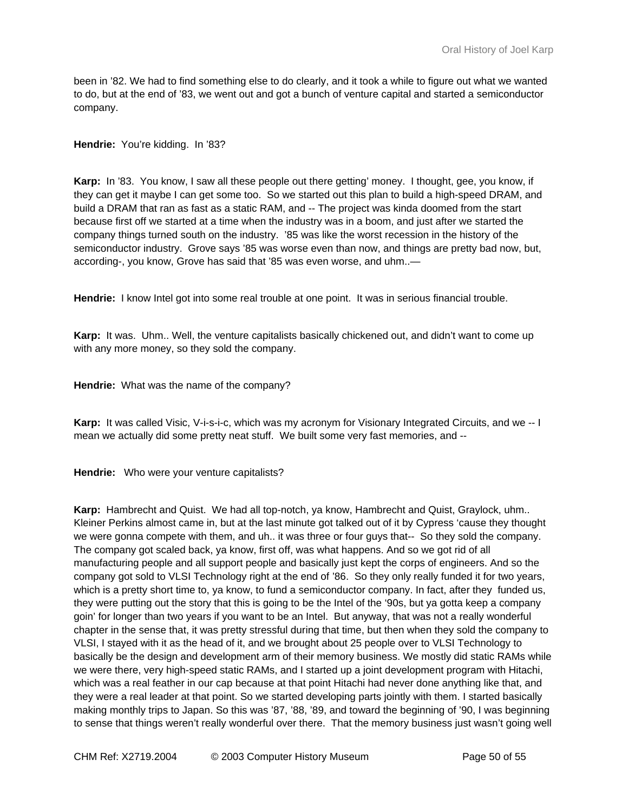been in '82. We had to find something else to do clearly, and it took a while to figure out what we wanted to do, but at the end of '83, we went out and got a bunch of venture capital and started a semiconductor company.

**Hendrie:** You're kidding. In '83?

**Karp:** In '83. You know, I saw all these people out there getting' money. I thought, gee, you know, if they can get it maybe I can get some too. So we started out this plan to build a high-speed DRAM, and build a DRAM that ran as fast as a static RAM, and -- The project was kinda doomed from the start because first off we started at a time when the industry was in a boom, and just after we started the company things turned south on the industry. '85 was like the worst recession in the history of the semiconductor industry. Grove says '85 was worse even than now, and things are pretty bad now, but, according-, you know, Grove has said that '85 was even worse, and uhm..—

**Hendrie:** I know Intel got into some real trouble at one point. It was in serious financial trouble.

**Karp:** It was. Uhm.. Well, the venture capitalists basically chickened out, and didn't want to come up with any more money, so they sold the company.

**Hendrie:** What was the name of the company?

**Karp:** It was called Visic, V-i-s-i-c, which was my acronym for Visionary Integrated Circuits, and we -- I mean we actually did some pretty neat stuff. We built some very fast memories, and --

**Hendrie:** Who were your venture capitalists?

**Karp:** Hambrecht and Quist. We had all top-notch, ya know, Hambrecht and Quist, Graylock, uhm.. Kleiner Perkins almost came in, but at the last minute got talked out of it by Cypress 'cause they thought we were gonna compete with them, and uh.. it was three or four guys that-- So they sold the company. The company got scaled back, ya know, first off, was what happens. And so we got rid of all manufacturing people and all support people and basically just kept the corps of engineers. And so the company got sold to VLSI Technology right at the end of '86. So they only really funded it for two years, which is a pretty short time to, ya know, to fund a semiconductor company. In fact, after they funded us, they were putting out the story that this is going to be the Intel of the '90s, but ya gotta keep a company goin' for longer than two years if you want to be an Intel. But anyway, that was not a really wonderful chapter in the sense that, it was pretty stressful during that time, but then when they sold the company to VLSI, I stayed with it as the head of it, and we brought about 25 people over to VLSI Technology to basically be the design and development arm of their memory business. We mostly did static RAMs while we were there, very high-speed static RAMs, and I started up a joint development program with Hitachi, which was a real feather in our cap because at that point Hitachi had never done anything like that, and they were a real leader at that point. So we started developing parts jointly with them. I started basically making monthly trips to Japan. So this was '87, '88, '89, and toward the beginning of '90, I was beginning to sense that things weren't really wonderful over there. That the memory business just wasn't going well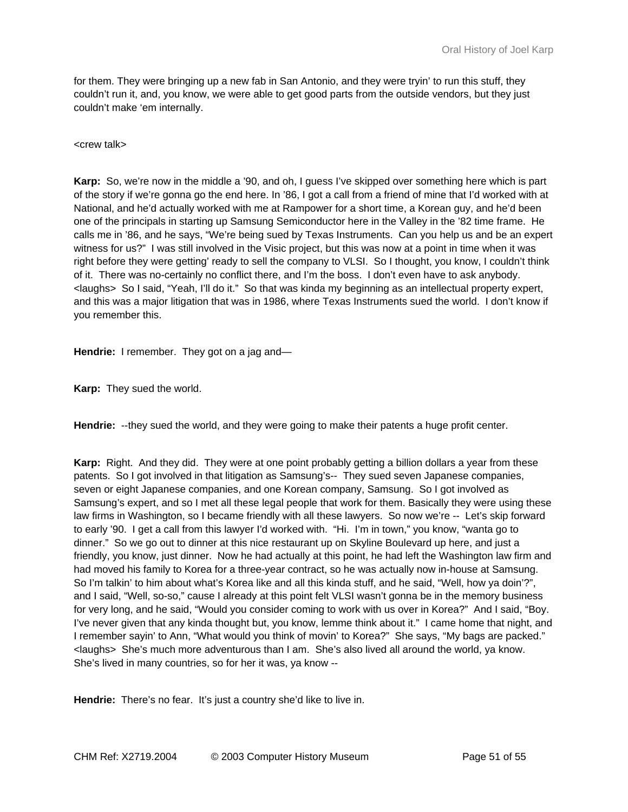for them. They were bringing up a new fab in San Antonio, and they were tryin' to run this stuff, they couldn't run it, and, you know, we were able to get good parts from the outside vendors, but they just couldn't make 'em internally.

<crew talk>

**Karp:** So, we're now in the middle a '90, and oh, I guess I've skipped over something here which is part of the story if we're gonna go the end here. In '86, I got a call from a friend of mine that I'd worked with at National, and he'd actually worked with me at Rampower for a short time, a Korean guy, and he'd been one of the principals in starting up Samsung Semiconductor here in the Valley in the '82 time frame. He calls me in '86, and he says, "We're being sued by Texas Instruments. Can you help us and be an expert witness for us?" I was still involved in the Visic project, but this was now at a point in time when it was right before they were getting' ready to sell the company to VLSI. So I thought, you know, I couldn't think of it. There was no-certainly no conflict there, and I'm the boss. I don't even have to ask anybody. <laughs> So I said, "Yeah, I'll do it." So that was kinda my beginning as an intellectual property expert, and this was a major litigation that was in 1986, where Texas Instruments sued the world. I don't know if you remember this.

**Hendrie:** I remember. They got on a jag and—

**Karp:** They sued the world.

**Hendrie:** --they sued the world, and they were going to make their patents a huge profit center.

Karp: Right. And they did. They were at one point probably getting a billion dollars a year from these patents. So I got involved in that litigation as Samsung's-- They sued seven Japanese companies, seven or eight Japanese companies, and one Korean company, Samsung. So I got involved as Samsung's expert, and so I met all these legal people that work for them. Basically they were using these law firms in Washington, so I became friendly with all these lawyers. So now we're -- Let's skip forward to early '90. I get a call from this lawyer I'd worked with. "Hi. I'm in town," you know, "wanta go to dinner." So we go out to dinner at this nice restaurant up on Skyline Boulevard up here, and just a friendly, you know, just dinner. Now he had actually at this point, he had left the Washington law firm and had moved his family to Korea for a three-year contract, so he was actually now in-house at Samsung. So I'm talkin' to him about what's Korea like and all this kinda stuff, and he said, "Well, how ya doin'?", and I said, "Well, so-so," cause I already at this point felt VLSI wasn't gonna be in the memory business for very long, and he said, "Would you consider coming to work with us over in Korea?" And I said, "Boy. I've never given that any kinda thought but, you know, lemme think about it." I came home that night, and I remember sayin' to Ann, "What would you think of movin' to Korea?" She says, "My bags are packed." <laughs> She's much more adventurous than I am. She's also lived all around the world, ya know. She's lived in many countries, so for her it was, ya know --

**Hendrie:** There's no fear. It's just a country she'd like to live in.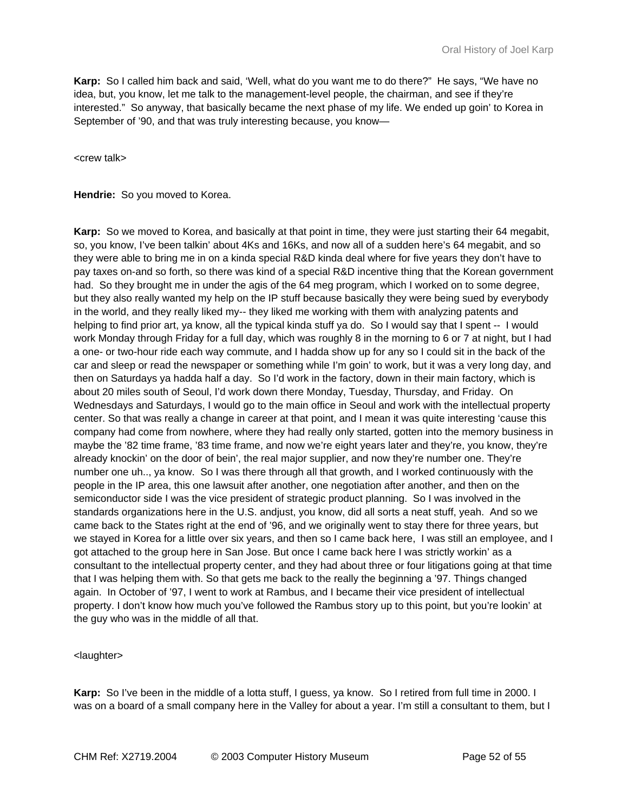**Karp:** So I called him back and said, 'Well, what do you want me to do there?" He says, "We have no idea, but, you know, let me talk to the management-level people, the chairman, and see if they're interested." So anyway, that basically became the next phase of my life. We ended up goin' to Korea in September of '90, and that was truly interesting because, you know—

<crew talk>

**Hendrie:** So you moved to Korea.

**Karp:** So we moved to Korea, and basically at that point in time, they were just starting their 64 megabit, so, you know, I've been talkin' about 4Ks and 16Ks, and now all of a sudden here's 64 megabit, and so they were able to bring me in on a kinda special R&D kinda deal where for five years they don't have to pay taxes on-and so forth, so there was kind of a special R&D incentive thing that the Korean government had. So they brought me in under the agis of the 64 meg program, which I worked on to some degree, but they also really wanted my help on the IP stuff because basically they were being sued by everybody in the world, and they really liked my-- they liked me working with them with analyzing patents and helping to find prior art, ya know, all the typical kinda stuff ya do. So I would say that I spent -- I would work Monday through Friday for a full day, which was roughly 8 in the morning to 6 or 7 at night, but I had a one- or two-hour ride each way commute, and I hadda show up for any so I could sit in the back of the car and sleep or read the newspaper or something while I'm goin' to work, but it was a very long day, and then on Saturdays ya hadda half a day. So I'd work in the factory, down in their main factory, which is about 20 miles south of Seoul, I'd work down there Monday, Tuesday, Thursday, and Friday. On Wednesdays and Saturdays, I would go to the main office in Seoul and work with the intellectual property center. So that was really a change in career at that point, and I mean it was quite interesting 'cause this company had come from nowhere, where they had really only started, gotten into the memory business in maybe the '82 time frame, '83 time frame, and now we're eight years later and they're, you know, they're already knockin' on the door of bein', the real major supplier, and now they're number one. They're number one uh.., ya know. So I was there through all that growth, and I worked continuously with the people in the IP area, this one lawsuit after another, one negotiation after another, and then on the semiconductor side I was the vice president of strategic product planning. So I was involved in the standards organizations here in the U.S. andjust, you know, did all sorts a neat stuff, yeah. And so we came back to the States right at the end of '96, and we originally went to stay there for three years, but we stayed in Korea for a little over six years, and then so I came back here, I was still an employee, and I got attached to the group here in San Jose. But once I came back here I was strictly workin' as a consultant to the intellectual property center, and they had about three or four litigations going at that time that I was helping them with. So that gets me back to the really the beginning a '97. Things changed again. In October of '97, I went to work at Rambus, and I became their vice president of intellectual property. I don't know how much you've followed the Rambus story up to this point, but you're lookin' at the guy who was in the middle of all that.

#### <laughter>

**Karp:** So I've been in the middle of a lotta stuff, I guess, ya know. So I retired from full time in 2000. I was on a board of a small company here in the Valley for about a year. I'm still a consultant to them, but I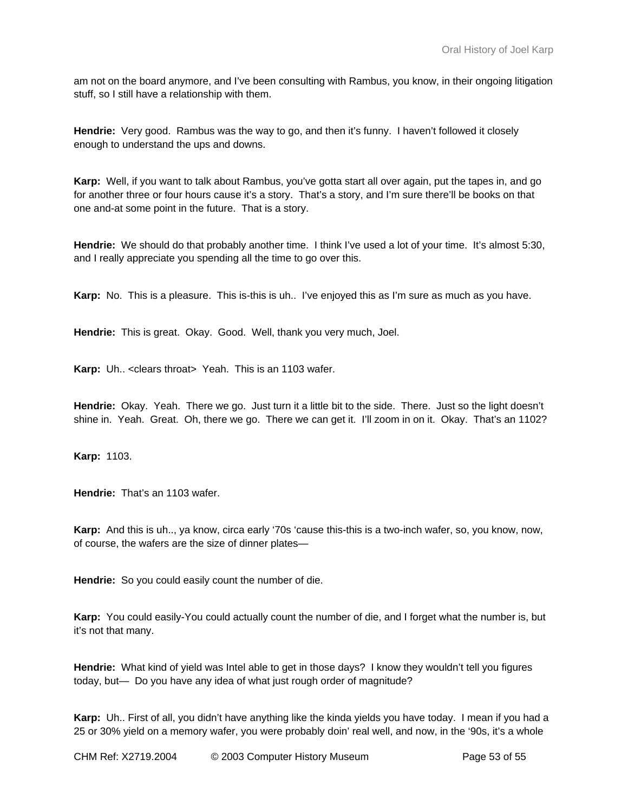am not on the board anymore, and I've been consulting with Rambus, you know, in their ongoing litigation stuff, so I still have a relationship with them.

**Hendrie:** Very good. Rambus was the way to go, and then it's funny. I haven't followed it closely enough to understand the ups and downs.

**Karp:** Well, if you want to talk about Rambus, you've gotta start all over again, put the tapes in, and go for another three or four hours cause it's a story. That's a story, and I'm sure there'll be books on that one and-at some point in the future. That is a story.

**Hendrie:** We should do that probably another time. I think I've used a lot of your time. It's almost 5:30, and I really appreciate you spending all the time to go over this.

**Karp:** No. This is a pleasure. This is-this is uh.. I've enjoyed this as I'm sure as much as you have.

**Hendrie:** This is great. Okay. Good. Well, thank you very much, Joel.

**Karp:** Uh.. <clears throat> Yeah. This is an 1103 wafer.

**Hendrie:** Okay. Yeah. There we go. Just turn it a little bit to the side. There. Just so the light doesn't shine in. Yeah. Great. Oh, there we go. There we can get it. I'll zoom in on it. Okay. That's an 1102?

**Karp:** 1103.

**Hendrie:** That's an 1103 wafer.

**Karp:** And this is uh.., ya know, circa early '70s 'cause this-this is a two-inch wafer, so, you know, now, of course, the wafers are the size of dinner plates—

**Hendrie:** So you could easily count the number of die.

**Karp:** You could easily-You could actually count the number of die, and I forget what the number is, but it's not that many.

**Hendrie:** What kind of yield was Intel able to get in those days? I know they wouldn't tell you figures today, but— Do you have any idea of what just rough order of magnitude?

**Karp:** Uh.. First of all, you didn't have anything like the kinda yields you have today. I mean if you had a 25 or 30% yield on a memory wafer, you were probably doin' real well, and now, in the '90s, it's a whole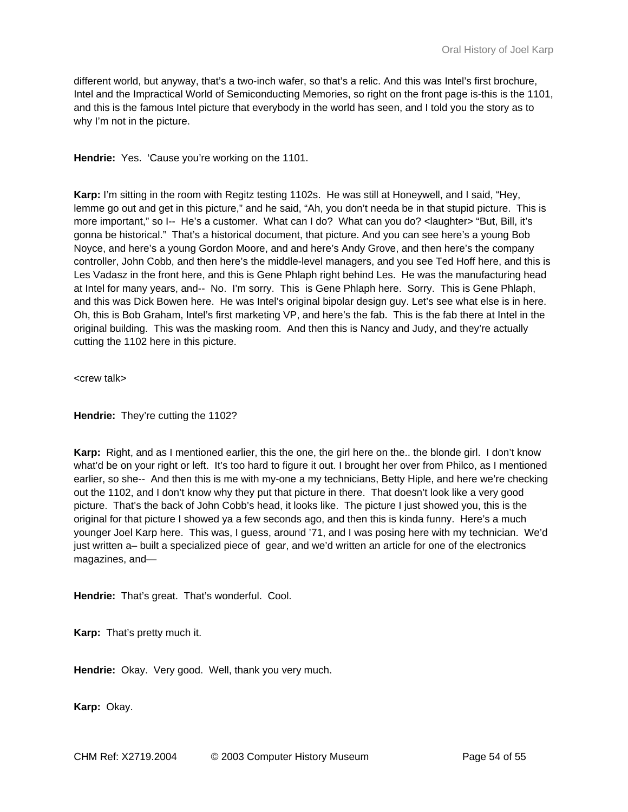different world, but anyway, that's a two-inch wafer, so that's a relic. And this was Intel's first brochure, Intel and the Impractical World of Semiconducting Memories, so right on the front page is-this is the 1101, and this is the famous Intel picture that everybody in the world has seen, and I told you the story as to why I'm not in the picture.

Hendrie: Yes. 'Cause you're working on the 1101.

**Karp:** I'm sitting in the room with Regitz testing 1102s. He was still at Honeywell, and I said, "Hey, lemme go out and get in this picture," and he said, "Ah, you don't needa be in that stupid picture. This is more important," so I-- He's a customer. What can I do? What can you do? <laughter> "But, Bill, it's gonna be historical." That's a historical document, that picture. And you can see here's a young Bob Noyce, and here's a young Gordon Moore, and and here's Andy Grove, and then here's the company controller, John Cobb, and then here's the middle-level managers, and you see Ted Hoff here, and this is Les Vadasz in the front here, and this is Gene Phlaph right behind Les. He was the manufacturing head at Intel for many years, and-- No. I'm sorry. This is Gene Phlaph here. Sorry. This is Gene Phlaph, and this was Dick Bowen here. He was Intel's original bipolar design guy. Let's see what else is in here. Oh, this is Bob Graham, Intel's first marketing VP, and here's the fab. This is the fab there at Intel in the original building. This was the masking room. And then this is Nancy and Judy, and they're actually cutting the 1102 here in this picture.

<crew talk>

**Hendrie:** They're cutting the 1102?

**Karp:** Right, and as I mentioned earlier, this the one, the girl here on the.. the blonde girl. I don't know what'd be on your right or left. It's too hard to figure it out. I brought her over from Philco, as I mentioned earlier, so she-- And then this is me with my-one a my technicians, Betty Hiple, and here we're checking out the 1102, and I don't know why they put that picture in there. That doesn't look like a very good picture. That's the back of John Cobb's head, it looks like. The picture I just showed you, this is the original for that picture I showed ya a few seconds ago, and then this is kinda funny. Here's a much younger Joel Karp here. This was, I guess, around '71, and I was posing here with my technician. We'd just written a– built a specialized piece of gear, and we'd written an article for one of the electronics magazines, and—

**Hendrie:** That's great. That's wonderful. Cool.

**Karp:** That's pretty much it.

**Hendrie:** Okay. Very good. Well, thank you very much.

**Karp:** Okay.